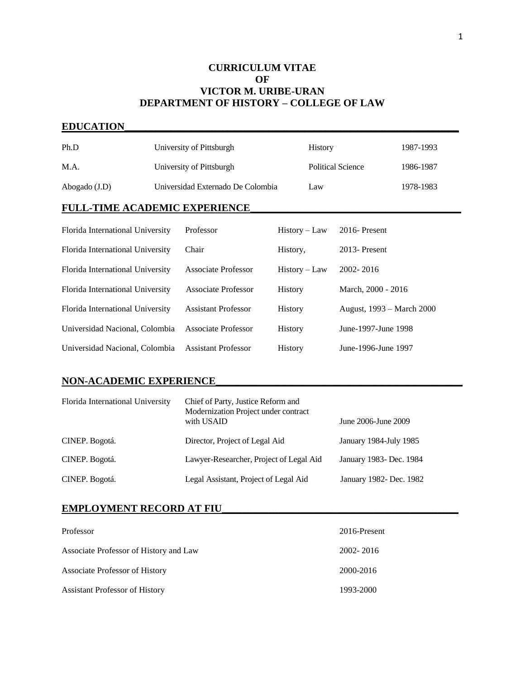# **CURRICULUM VITAE OF VICTOR M. URIBE-URAN DEPARTMENT OF HISTORY – COLLEGE OF LAW**

# **EDUCATION\_\_\_\_\_\_\_\_\_\_\_\_\_\_\_\_\_\_\_\_\_\_\_\_\_\_\_\_\_\_\_\_\_\_\_\_\_\_\_\_\_\_\_\_\_\_\_\_\_\_\_\_\_\_\_\_\_\_\_\_\_\_\_\_\_**

| Ph.D                                 |  | University of Pittsburgh          |                 | <b>History</b>           |                           | 1987-1993 |  |  |
|--------------------------------------|--|-----------------------------------|-----------------|--------------------------|---------------------------|-----------|--|--|
| M.A.                                 |  | University of Pittsburgh          |                 | <b>Political Science</b> |                           | 1986-1987 |  |  |
| Abogado (J.D)                        |  | Universidad Externado De Colombia |                 | Law                      |                           | 1978-1983 |  |  |
| <b>FULL-TIME ACADEMIC EXPERIENCE</b> |  |                                   |                 |                          |                           |           |  |  |
| Florida International University     |  | Professor                         | $History - Law$ |                          | $2016$ -Present           |           |  |  |
| Florida International University     |  | Chair                             | History,        |                          | 2013-Present              |           |  |  |
| Florida International University     |  | <b>Associate Professor</b>        | $History - Law$ |                          | 2002-2016                 |           |  |  |
| Florida International University     |  | <b>Associate Professor</b>        | <b>History</b>  |                          | March, 2000 - 2016        |           |  |  |
| Florida International University     |  | <b>Assistant Professor</b>        | <b>History</b>  |                          | August, 1993 – March 2000 |           |  |  |
| Universidad Nacional, Colombia       |  | <b>Associate Professor</b>        | <b>History</b>  |                          | June-1997-June 1998       |           |  |  |
| Universidad Nacional, Colombia       |  | <b>Assistant Professor</b>        | History         |                          | June-1996-June 1997       |           |  |  |

# **NON-ACADEMIC EXPERIENCE\_\_\_\_\_\_\_\_\_\_\_\_\_\_\_\_\_\_\_\_\_\_\_\_\_\_\_\_\_\_\_\_\_\_\_\_\_\_\_\_\_\_\_\_\_\_\_\_**

| Florida International University | Chief of Party, Justice Reform and<br>Modernization Project under contract<br>with USAID | June 2006-June 2009     |
|----------------------------------|------------------------------------------------------------------------------------------|-------------------------|
| CINEP. Bogotá.                   | Director, Project of Legal Aid                                                           | January 1984-July 1985  |
| CINEP. Bogotá.                   | Lawyer-Researcher, Project of Legal Aid                                                  | January 1983- Dec. 1984 |
| CINEP. Bogotá.                   | Legal Assistant, Project of Legal Aid                                                    | January 1982- Dec. 1982 |

# **EMPLOYMENT RECORD AT FIU\_\_\_\_\_\_\_\_\_\_\_\_\_\_\_\_\_\_\_\_\_\_\_\_\_\_\_\_\_\_\_\_\_\_\_\_\_\_\_\_\_\_\_\_\_\_**

| Professor                              | 2016-Present |
|----------------------------------------|--------------|
| Associate Professor of History and Law | 2002-2016    |
| <b>Associate Professor of History</b>  | 2000-2016    |
| <b>Assistant Professor of History</b>  | 1993-2000    |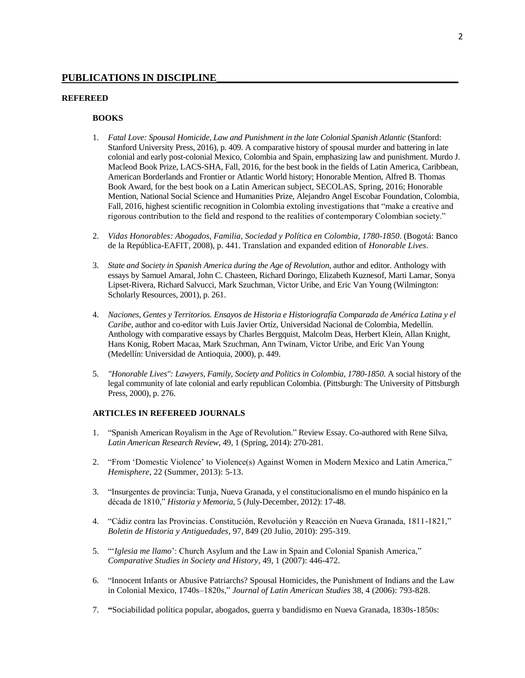## **REFEREED**

## **BOOKS**

- 1. *Fatal Love: Spousal Homicide, Law and Punishment in the late Colonial Spanish Atlantic* (Stanford: Stanford University Press, 2016), p. 409*.* A comparative history of spousal murder and battering in late colonial and early post-colonial Mexico, Colombia and Spain, emphasizing law and punishment. Murdo J. Macleod Book Prize, LACS-SHA, Fall, 2016, for the best book in the fields of Latin America, Caribbean, American Borderlands and Frontier or Atlantic World history; Honorable Mention, Alfred B. Thomas Book Award, for the best book on a Latin American subject, SECOLAS, Spring, 2016; Honorable Mention, National Social Science and Humanities Prize, Alejandro Angel Escobar Foundation, Colombia, Fall, 2016, highest scientific recognition in Colombia extoling investigations that "make a creative and rigorous contribution to the field and respond to the realities of contemporary Colombian society."
- 2. *Vidas Honorables: Abogados, Familia, Sociedad y Política en Colombia, 1780-1850*. (Bogotá: Banco de la República-EAFIT, 2008), p. 441. Translation and expanded edition of *Honorable Lives*.
- 3. *State and Society in Spanish America during the Age of Revolution*, author and editor. Anthology with essays by Samuel Amaral, John C. Chasteen, Richard Doringo, Elizabeth Kuznesof, Marti Lamar, Sonya Lipset-Rivera, Richard Salvucci, Mark Szuchman, Victor Uribe, and Eric Van Young (Wilmington: Scholarly Resources, 2001), p. 261.
- 4. *Naciones, Gentes y Territorios. Ensayos de Historia e Historiografía Comparada de América Latina y el Caribe*, author and co-editor with Luis Javier Ortíz, Universidad Nacional de Colombia, Medellín. Anthology with comparative essays by Charles Bergquist, Malcolm Deas, Herbert Klein, Allan Knight, Hans Konig, Robert Macaa, Mark Szuchman, Ann Twinam, Victor Uribe, and Eric Van Young (Medellín: Universidad de Antioquia, 2000), p. 449.
- 5. *"Honorable Lives": Lawyers, Family, Society and Politics in Colombia, 1780-1850*. A social history of the legal community of late colonial and early republican Colombia. (Pittsburgh: The University of Pittsburgh Press, 2000), p. 276.

#### **ARTICLES IN REFEREED JOURNALS**

- 1. "Spanish American Royalism in the Age of Revolution." Review Essay. Co-authored with Rene Silva, *Latin American Research Review*, 49, 1 (Spring, 2014): 270-281.
- 2. "From 'Domestic Violence' to Violence(s) Against Women in Modern Mexico and Latin America," *Hemisphere*, 22 (Summer, 2013): 5-13.
- 3. "Insurgentes de provincia: Tunja, Nueva Granada, y el constitucionalismo en el mundo hispánico en la década de 1810," *Historia y Memoria*, 5 (July-December, 2012): 17-48.
- 4. "Cádiz contra las Provincias. Constitución, Revolución y Reacción en Nueva Granada, 1811-1821," *Boletin de Historia y Antiguedades*, 97, 849 (20 Julio, 2010): 295-319.
- 5. "'*Iglesia me llamo*': Church Asylum and the Law in Spain and Colonial Spanish America," *Comparative Studies in Society and History*, 49, 1 (2007): 446-472.
- 6. "Innocent Infants or Abusive Patriarchs? Spousal Homicides, the Punishment of Indians and the Law in Colonial Mexico, 1740s–1820s," *[Journal of Latin American Studies](http://journals.cambridge.org/action/displayAbstract?aid=528916##)* 38, 4 (2006): 793-828.
- 7. **"**Sociabilidad política popular, abogados, guerra y bandidismo en Nueva Granada, 1830s-1850s: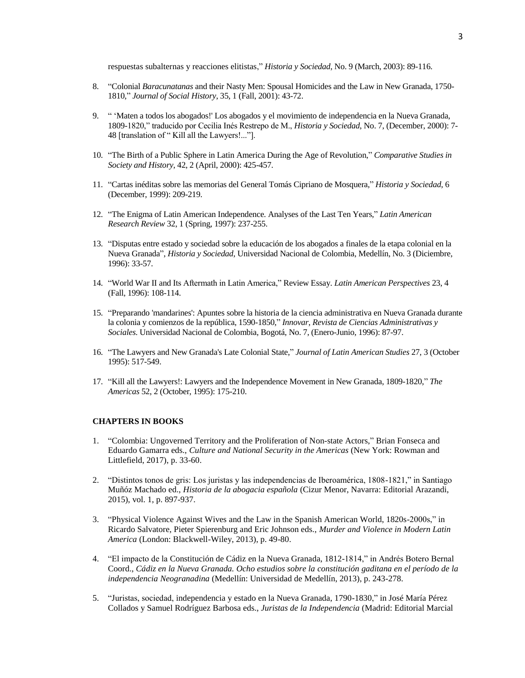respuestas subalternas y reacciones elitistas," *Historia y Sociedad*, No. 9 (March, 2003): 89-116.

- 8. "Colonial *Baracunatanas* and their Nasty Men: Spousal Homicides and the Law in New Granada, 1750- 1810," *Journal of Social History*, 35, 1 (Fall, 2001): 43-72.
- 9. " 'Maten a todos los abogados!' Los abogados y el movimiento de independencia en la Nueva Granada, 1809-1820," traducido por Cecilia Inés Restrepo de M., *Historia y Sociedad*, No. 7, (December, 2000): 7- 48 [translation of " Kill all the Lawyers!..."].
- 10. "The Birth of a Public Sphere in Latin America During the Age of Revolution," *Comparative Studies in Society and History*, 42, 2 (April, 2000): 425-457.
- 11. "Cartas inéditas sobre las memorias del General Tomás Cipriano de Mosquera," *Historia y Sociedad*, 6 (December, 1999): 209-219.
- 12. "The Enigma of Latin American Independence. Analyses of the Last Ten Years*,*" *Latin American Research Review* 32, 1 (Spring, 1997): 237-255.
- 13. "Disputas entre estado y sociedad sobre la educación de los abogados a finales de la etapa colonial en la Nueva Granada", *Historia y Sociedad*, Universidad Nacional de Colombia, Medellín, No. 3 (Diciembre, 1996): 33-57.
- 14. "World War II and Its Aftermath in Latin America," Review Essay. *Latin American Perspectives* 23, 4 (Fall, 1996): 108-114.
- 15. "Preparando 'mandarines': Apuntes sobre la historia de la ciencia administrativa en Nueva Granada durante la colonia y comienzos de la república, 1590-1850," *Innovar*, *Revista de Ciencias Administrativas y Sociales*. Universidad Nacional de Colombia, Bogotá, No. 7, (Enero-Junio, 1996): 87-97.
- 16. "The Lawyers and New Granada's Late Colonial State," *Journal of Latin American Studies* 27, 3 (October 1995): 517-549.
- 17. "Kill all the Lawyers!: Lawyers and the Independence Movement in New Granada, 1809-1820," *The Americas* 52, 2 (October, 1995): 175-210.

## **CHAPTERS IN BOOKS**

- 1. "Colombia: Ungoverned Territory and the Proliferation of Non-state Actors," Brian Fonseca and Eduardo Gamarra eds., *Culture and National Security in the Americas* (New York: Rowman and Littlefield, 2017), p. 33-60.
- 2. "Distintos tonos de gris: Los juristas y las independencias de Iberoamérica, 1808-1821," in Santiago Muñóz Machado ed., *Historia de la abogacia española* (Cizur Menor, Navarra: Editorial Arazandi, 2015), vol. 1, p. 897-937.
- 3. "Physical Violence Against Wives and the Law in the Spanish American World, 1820s-2000s," in Ricardo Salvatore, Pieter Spierenburg and Eric Johnson eds., *Murder and Violence in Modern Latin America* (London: Blackwell-Wiley, 2013), p. 49-80.
- 4. "El impacto de la Constitución de Cádiz en la Nueva Granada, 1812-1814," in Andrés Botero Bernal Coord., *Cádiz en la Nueva Granada. Ocho estudios sobre la constitución gaditana en el período de la independencia Neogranadina* (Medellín: Universidad de Medellín, 2013), p. 243-278.
- 5. "Juristas, sociedad, independencia y estado en la Nueva Granada, 1790-1830," in José María Pérez Collados y Samuel Rodríguez Barbosa eds., *Juristas de la Independencia* (Madrid: Editorial Marcial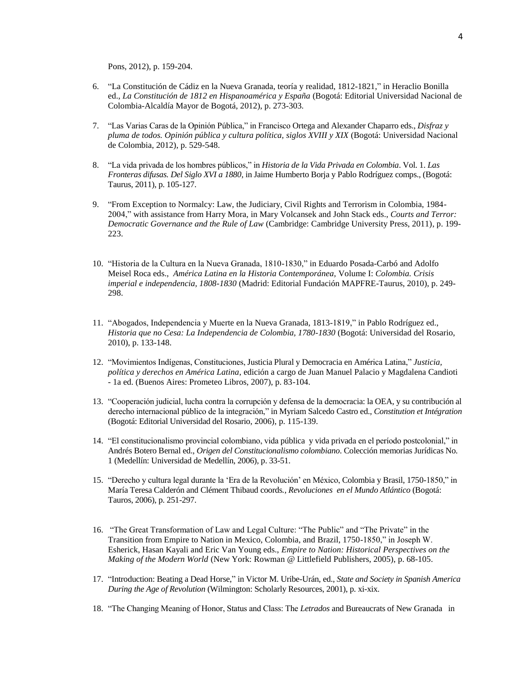Pons, 2012), p. 159-204.

- 6. "La Constitución de Cádiz en la Nueva Granada, teoría y realidad, 1812-1821," in Heraclio Bonilla ed., *La Constitución de 1812 en Hispanoamérica y España* (Bogotá: Editorial Universidad Nacional de Colombia-Alcaldía Mayor de Bogotá, 2012), p. 273-303.
- 7. "Las Varias Caras de la Opinión Pública," in Francisco Ortega and Alexander Chaparro eds., *Disfraz y pluma de todos. Opinión pública y cultura política, siglos XVIII y XIX* (Bogotá: Universidad Nacional de Colombia, 2012), p. 529-548.
- 8. "La vida privada de los hombres públicos," in *Historia de la Vida Privada en Colombia*. Vol. 1. *Las Fronteras difusas. Del Siglo XVI a 1880*, in Jaime Humberto Borja y Pablo Rodríguez comps., (Bogotá: Taurus, 2011), p. 105-127.
- 9. "From Exception to Normalcy: Law, the Judiciary, Civil Rights and Terrorism in Colombia, 1984- 2004," with assistance from Harry Mora, in Mary Volcansek and John Stack eds., *Courts and Terror: Democratic Governance and the Rule of Law* (Cambridge: Cambridge University Press, 2011), p. 199- 223.
- 10. "Historia de la Cultura en la Nueva Granada, 1810-1830," in Eduardo Posada-Carbó and Adolfo Meisel Roca eds., *América Latina en la Historia Contemporánea,* Volume I: *Colombia. Crisis imperial e independencia, 1808-1830* (Madrid: Editorial Fundación MAPFRE-Taurus, 2010), p. 249- 298.
- 11. "Abogados, Independencia y Muerte en la Nueva Granada, 1813-1819," in Pablo Rodríguez ed., *Historia que no Cesa: La Independencia de Colombia, 1780-1830* (Bogotá: Universidad del Rosario, 2010), p. 133-148.
- 12. "Movimientos Indígenas, Constituciones, Justicia Plural y Democracia en América Latina," *Justicia, política y derechos en América Latina*, edición a cargo de Juan Manuel Palacio y Magdalena Candioti - 1a ed. (Buenos Aires: Prometeo Libros, 2007), p. 83-104.
- 13. "Cooperación judicial, lucha contra la corrupción y defensa de la democracia: la OEA, y su contribución al derecho internacional público de la integración," in Myriam Salcedo Castro ed., *Constitution et Intégration*  (Bogotá: Editorial Universidad del Rosario, 2006), p. 115-139.
- 14. "El constitucionalismo provincial colombiano, vida pública y vida privada en el período postcolonial," in Andrés Botero Bernal ed., *Origen del Constitucionalismo colombiano*. Colección memorias Jurídicas No. 1 (Medellín: Universidad de Medellín, 2006), p. 33-51.
- 15. "Derecho y cultura legal durante la 'Era de la Revolución' en México, Colombia y Brasil, 1750-1850," in María Teresa Calderón and Clément Thibaud coords*., Revoluciones en el Mundo Atlántico* (Bogotá: Tauros, 2006), p. 251-297.
- 16. "The Great Transformation of Law and Legal Culture: "The Public" and "The Private" in the Transition from Empire to Nation in Mexico, Colombia, and Brazil, 1750-1850," in Joseph W. Esherick, Hasan Kayali and Eric Van Young eds., *Empire to Nation: Historical Perspectives on the Making of the Modern World* (New York: Rowman @ Littlefield Publishers, 2005), p. 68-105.
- 17. "Introduction: Beating a Dead Horse," in Victor M. Uribe-Urán, ed., *State and Society in Spanish America During the Age of Revolution* (Wilmington: Scholarly Resources, 2001), p. xi-xix.
- 18. "The Changing Meaning of Honor, Status and Class: The *Letrados* and Bureaucrats of New Granada in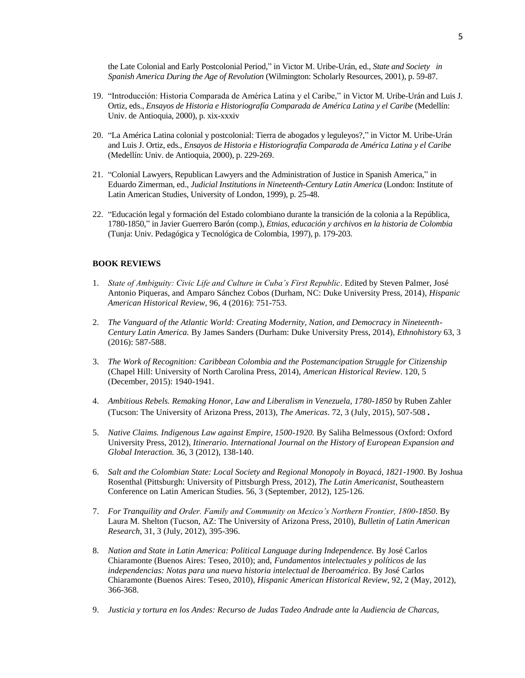the Late Colonial and Early Postcolonial Period," in Victor M. Uribe-Urán, ed., *State and Society in Spanish America During the Age of Revolution* (Wilmington: Scholarly Resources, 2001), p. 59-87.

- 19. "Introducción: Historia Comparada de América Latina y el Caribe," in Victor M. Uribe-Urán and Luis J. Ortiz, eds., *Ensayos de Historia e Historiografía Comparada de América Latina y el Caribe* (Medellín: Univ. de Antioquia, 2000), p. xix-xxxiv
- 20. "La América Latina colonial y postcolonial: Tierra de abogados y leguleyos?," in Victor M. Uribe-Urán and Luis J. Ortiz, eds., *Ensayos de Historia e Historiografía Comparada de América Latina y el Caribe*  (Medellín: Univ. de Antioquia, 2000), p. 229-269.
- 21. "Colonial Lawyers, Republican Lawyers and the Administration of Justice in Spanish America," in Eduardo Zimerman, ed., *Judicial Institutions in Nineteenth-Century Latin America* (London: Institute of Latin American Studies, University of London, 1999), p. 25-48.
- 22. "Educación legal y formación del Estado colombiano durante la transición de la colonia a la República, 1780-1850," in Javier Guerrero Barón (comp.), *Etnias, educación y archivos en la historia de Colombia* (Tunja: Univ. Pedagógica y Tecnológica de Colombia, 1997), p. 179-203.

## **BOOK REVIEWS**

- 1. *State of Ambiguity: Civic Life and Culture in Cuba's First Republic*. Edited by Steven Palmer, José Antonio Piqueras, and Amparo Sánchez Cobos (Durham, NC: Duke University Press, 2014), *Hispanic American Historical Review*, 96, 4 (2016): 751-753.
- 2. *The Vanguard of the Atlantic World: Creating Modernity, Nation, and Democracy in Nineteenth-Century Latin America.* By James Sanders (Durham: Duke University Press, 2014), *Ethnohistory* 63, 3 (2016): 587-588.
- 3. *The Work of Recognition: Caribbean Colombia and the Postemancipation Struggle for Citizenship* (Chapel Hill: University of North Carolina Press, 2014), *American Historical Review*. 120, 5 (December, 2015): 1940-1941.
- 4. *Ambitious Rebels. Remaking Honor, Law and Liberalism in Venezuela, 1780-1850* by Ruben Zahler (Tucson: The University of Arizona Press, 2013), *The Americas*. 72, 3 (July, 2015), 507-508.
- 5. *Native Claims. Indigenous Law against Empire, 1500-1920.* By Saliha Belmessous (Oxford: Oxford University Press, 2012), *Itinerario. International Journal on the History of European Expansion and Global Interaction.* 36, 3 (2012), 138-140.
- 6. *Salt and the Colombian State: Local Society and Regional Monopoly in Boyacá, 1821-1900*. By Joshua Rosenthal (Pittsburgh: University of Pittsburgh Press, 2012), *The Latin Americanist*, Southeastern Conference on Latin American Studies. 56, 3 (September, 2012), 125-126.
- 7. *For Tranquility and Order. Family and Community on Mexico's Northern Frontier, 1800-1850*. By Laura M. Shelton (Tucson, AZ: The University of Arizona Press, 2010), *Bulletin of Latin American Research*, 31, 3 (July, 2012), 395-396.
- 8. Nation and State in Latin America: Political Language during Independence. By José Carlos Chiaramonte (Buenos Aires: Teseo, 2010); and, *Fundamentos intelectuales y políticos de las independencias: Notas para una nueva historia intelectual de Iberoamérica*. By José Carlos Chiaramonte (Buenos Aires: Teseo, 2010), *Hispanic American Historical Review*, 92, 2 (May, 2012), 366-368.
- 9. *[Justicia y tortura en los Andes: Recurso de Judas Tadeo Andrade ante la Audiencia de Charcas,](http://www.worldcat.org/title/justicia-y-tortura-en-los-andes-recurso-de-judas-tadeo-andrade-ante-la-audiencia-de-charcas-1791-coordinated-by-marcela-inch-calvimonte-and-marta-irurozqui-victoriano/oclc/610306914&referer=brief_results)*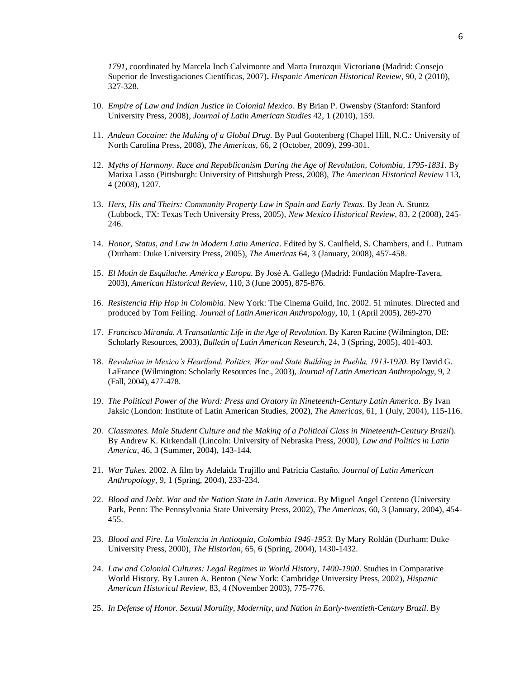*1791*[, coordinated by Marcela Inch Calvimonte and Marta Irurozqui Victorian](http://www.worldcat.org/title/justicia-y-tortura-en-los-andes-recurso-de-judas-tadeo-andrade-ante-la-audiencia-de-charcas-1791-coordinated-by-marcela-inch-calvimonte-and-marta-irurozqui-victoriano/oclc/610306914&referer=brief_results)**o** (Madrid: Consejo Superior de Investigaciones Científicas, 2007)**.** *Hispanic American Historical Review*, 90, 2 (2010), 327-328.

- 10. *Empire of Law and Indian Justice in Colonial Mexico*. By Brian P. Owensby (Stanford: Stanford University Press, 2008), *Journal of Latin American Studies* 42, 1 (2010), 159.
- 11. *Andean Cocaine: the Making of a Global Drug.* By Paul Gootenberg (Chapel Hill, N.C.: University of North Carolina Press, 2008), *The Americas,* 66, 2 (October, 2009), 299-301.
- 12. *Myths of Harmony. Race and Republicanism During the Age of Revolution, Colombia, 1795-1831*. By Marixa Lasso (Pittsburgh: University of Pittsburgh Press, 2008), *The American Historical Review* 113, 4 (2008), 1207.
- 13. *Hers, His and Theirs: Community Property Law in Spain and Early Texas*. By Jean A. Stuntz (Lubbock, TX: Texas Tech University Press, 2005), *New Mexico Historical Review*, 83, 2 (2008), 245- 246.
- 14. *Honor, Status, and Law in Modern Latin America*. Edited by S. Caulfield, S. Chambers, and L. Putnam (Durham: Duke University Press, 2005), *The Americas* 64, 3 (January, 2008), 457-458.
- 15. *El Motín de Esquilache. América y Europa*. By José A. Gallego (Madrid: Fundación Mapfre-Tavera, 2003), *American Historical Review*, 110, 3 (June 2005), 875-876.
- 16. *Resistencia Hip Hop in Colombia*. New York: The Cinema Guild, Inc. 2002. 51 minutes. Directed and produced by Tom Feiling. *Journal of Latin American Anthropology*, 10, 1 (April 2005), 269-270
- 17. *Francisco Miranda. A Transatlantic Life in the Age of Revolution*. By Karen Racine (Wilmington, DE: Scholarly Resources, 2003), *Bulletin of Latin American Research,* 24, 3 (Spring, 2005), 401-403.
- 18. *Revolution in Mexico's Heartland. Politics, War and State Building in Puebla, 1913-1920*. By David G. LaFrance (Wilmington: Scholarly Resources Inc., 2003), *Journal of Latin American Anthropology*, 9, 2 (Fall, 2004), 477-478.
- 19. *The Political Power of the Word: Press and Oratory in Nineteenth-Century Latin America*. By Ivan Jaksic (London: Institute of Latin American Studies, 2002), *The Americas*, 61, 1 (July, 2004), 115-116.
- 20. *Classmates. Male Student Culture and the Making of a Political Class in Nineteenth-Century Brazil*). By Andrew K. Kirkendall (Lincoln: University of Nebraska Press, 2000), *Law and Politics in Latin America*, 46, 3 (Summer, 2004), 143-144.
- 21. *War Takes.* 2002. A film by Adelaida Trujillo and Patricia Castaño*. Journal of Latin American Anthropology,* 9, 1 (Spring, 2004), 233-234.
- 22. *Blood and Debt. War and the Nation State in Latin America*. By Miguel Angel Centeno (University Park, Penn: The Pennsylvania State University Press, 2002), *The Americas*, 60, 3 (January, 2004), 454- 455.
- 23. *Blood and Fire. La Violencia in Antioquia, Colombia 1946-1953.* By Mary Roldán (Durham: Duke University Press, 2000), *The Historian*, 65, 6 (Spring, 2004), 1430-1432.
- 24. *Law and Colonial Cultures: Legal Regimes in World History, 1400-1900*. Studies in Comparative World History. By Lauren A. Benton (New York: Cambridge University Press, 2002), *Hispanic American Historical Review*, 83, 4 (November 2003), 775-776.
- 25. *In Defense of Honor. Sexual Morality, Modernity, and Nation in Early-twentieth-Century Brazil*. By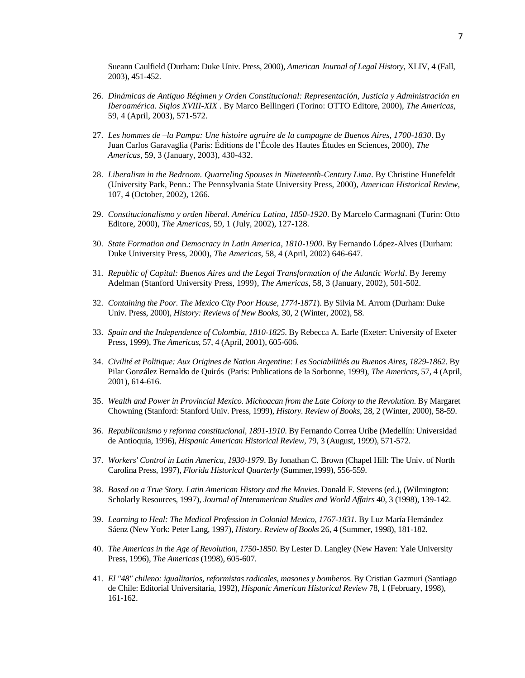Sueann Caulfield (Durham: Duke Univ. Press, 2000), *American Journal of Legal History*, XLIV, 4 (Fall, 2003), 451-452.

- 26. *Dinámicas de Antiguo Régimen y Orden Constitucional: Representación, Justicia y Administración en Iberoamérica. Siglos XVIII-XIX* . By Marco Bellingeri (Torino: OTTO Editore, 2000), *The Americas*, 59, 4 (April, 2003), 571-572.
- 27. *Les hommes de –la Pampa: Une histoire agraire de la campagne de Buenos Aires, 1700-1830*. By Juan Carlos Garavaglia (Paris: Éditions de l'École des Hautes Études en Sciences, 2000), *The Americas*, 59, 3 (January, 2003), 430-432.
- 28. *Liberalism in the Bedroom. Quarreling Spouses in Nineteenth-Century Lima*. By Christine Hunefeldt (University Park, Penn.: The Pennsylvania State University Press, 2000), *American Historical Review*, 107, 4 (October, 2002), 1266.
- 29. *Constitucionalismo y orden liberal. América Latina, 1850-1920*. By Marcelo Carmagnani (Turin: Otto Editore, 2000), *The Americas*, 59, 1 (July, 2002), 127-128.
- 30. *State Formation and Democracy in Latin America, 1810-1900*. By Fernando López-Alves (Durham: Duke University Press, 2000), *The Americas*, 58, 4 (April, 2002) 646-647.
- 31. *Republic of Capital: Buenos Aires and the Legal Transformation of the Atlantic World*. By Jeremy Adelman (Stanford University Press, 1999), *The Americas*, 58, 3 (January, 2002), 501-502.
- 32. *Containing the Poor. The Mexico City Poor House, 1774-1871*). By Silvia M. Arrom (Durham: Duke Univ. Press, 2000), *History: Reviews of New Books*, 30, 2 (Winter, 2002), 58.
- 33. *Spain and the Independence of Colombia, 1810-1825*. By Rebecca A. Earle (Exeter: University of Exeter Press, 1999), *The Americas*, 57, 4 (April, 2001), 605-606.
- 34. *Civilité et Politique: Aux Origines de Nation Argentine: Les Sociabilitiés au Buenos Aires, 1829-1862*. By Pilar González Bernaldo de Quirós (Paris: Publications de la Sorbonne, 1999), *The Americas*, 57, 4 (April, 2001), 614-616.
- 35. *Wealth and Power in Provincial Mexico. Michoacan from the Late Colony to the Revolution*. By Margaret Chowning (Stanford: Stanford Univ. Press, 1999), *History. Review of Books*, 28, 2 (Winter, 2000), 58-59.
- 36. *Republicanismo y reforma constitucional, 1891-1910*. By Fernando Correa Uribe (Medellín: Universidad de Antioquia, 1996), *Hispanic American Historical Review*, 79, 3 (August, 1999), 571-572.
- 37. *Workers' Control in Latin America, 1930-1979*. By Jonathan C. Brown (Chapel Hill: The Univ. of North Carolina Press, 1997), *Florida Historical Quarterly* (Summer,1999), 556-559.
- 38. *Based on a True Story. Latin American History and the Movies*. Donald F. Stevens (ed.), (Wilmington: Scholarly Resources, 1997), *Journal of Interamerican Studies and World Affairs* 40, 3 (1998), 139-142.
- 39. *Learning to Heal: The Medical Profession in Colonial Mexico, 1767-1831*. By Luz María Hernández Sáenz (New York: Peter Lang, 1997), *History. Review of Books* 26, 4 (Summer, 1998), 181-182.
- 40. *The Americas in the Age of Revolution, 1750-1850*. By Lester D. Langley (New Haven: Yale University Press, 1996), *The Americas* (1998), 605-607.
- 41. *El "48" chileno: igualitarios, reformistas radicales, masones y bomberos*. By Cristian Gazmuri (Santiago de Chile: Editorial Universitaria, 1992), *Hispanic American Historical Review* 78, 1 (February, 1998), 161-162.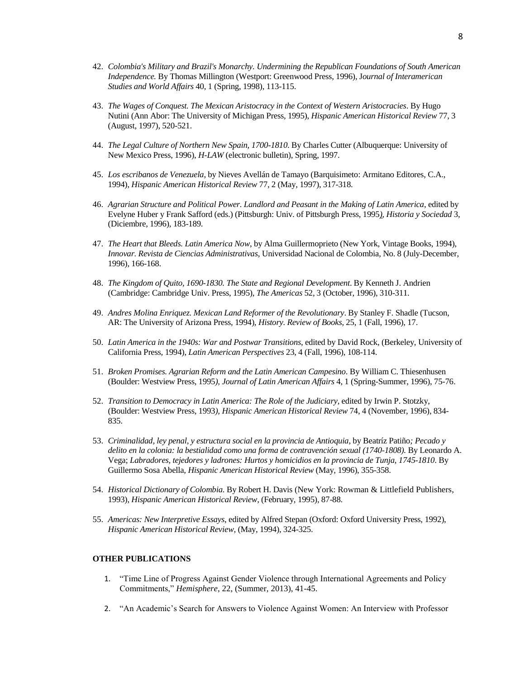- 42. *Colombia's Military and Brazil's Monarchy. Undermining the Republican Foundations of South American Independence.* By Thomas Millington (Westport: Greenwood Press, 1996), J*ournal of Interamerican Studies and World Affairs* 40, 1 (Spring, 1998), 113-115.
- 43. *The Wages of Conquest. The Mexican Aristocracy in the Context of Western Aristocracies*. By Hugo Nutini (Ann Abor: The University of Michigan Press, 1995), *Hispanic American Historical Review* 77, 3 (August, 1997), 520-521.
- 44. *The Legal Culture of Northern New Spain, 1700-1810*. By Charles Cutter (Albuquerque: University of New Mexico Press, 1996), *H-LAW* (electronic bulletin), Spring, 1997.
- 45. *Los escribanos de Venezuela*, by Nieves Avellán de Tamayo (Barquisimeto: Armitano Editores, C.A., 1994), *Hispanic American Historical Review* 77, 2 (May, 1997), 317-318.
- 46. *Agrarian Structure and Political Power. Landlord and Peasant in the Making of Latin America*, edited by Evelyne Huber y Frank Safford (eds.) (Pittsburgh: Univ. of Pittsburgh Press, 1995*), Historia y Sociedad* 3, (Diciembre, 1996), 183-189.
- 47. *The Heart that Bleeds. Latin America Now*, by Alma Guillermoprieto (New York, Vintage Books, 1994), *Innovar. Revista de Ciencias Administrativas*, Universidad Nacional de Colombia, No. 8 (July-December, 1996), 166-168.
- 48. *The Kingdom of Quito, 1690-1830. The State and Regional Development*. By Kenneth J. Andrien (Cambridge: Cambridge Univ. Press, 1995), *The Americas* 52, 3 (October, 1996), 310-311.
- 49. *Andres Molina Enriquez. Mexican Land Reformer of the Revolutionary*. By Stanley F. Shadle (Tucson, AR: The University of Arizona Press, 1994), *History. Review of Books*, 25, 1 (Fall, 1996), 17.
- 50. *Latin America in the 1940s: War and Postwar Transitions*, edited by David Rock, (Berkeley, University of California Press, 1994), *Latin American Perspectives* 23, 4 (Fall, 1996), 108-114.
- 51. *Broken Promises. Agrarian Reform and the Latin American Campesino*. By William C. Thiesenhusen (Boulder: Westview Press, 1995*), Journal of Latin American Affairs* 4, 1 (Spring-Summer, 1996), 75-76.
- 52. *Transition to Democracy in Latin America: The Role of the Judiciary*, edited by Irwin P. Stotzky, (Boulder: Westview Press, 1993*), Hispanic American Historical Review* 74, 4 (November, 1996), 834- 835.
- 53. *Criminalidad, ley penal, y estructura social en la provincia de Antioquia*, by Beatríz Patiño*; Pecado y delito en la colonia: la bestialidad como una forma de contravención sexual (1740-1808).* By Leonardo A. Vega; *Labradores, tejedores y ladrones: Hurtos y homicidios en la provincia de Tunja, 1745-1810*. By Guillermo Sosa Abella*, Hispanic American Historical Review* (May, 1996), 355-358.
- 54. *Historical Dictionary of Colombia*. By Robert H. Davis (New York: Rowman & Littlefield Publishers, 1993), *Hispanic American Historical Review*, (February, 1995), 87-88.
- 55. *Americas: New Interpretive Essays*, edited by Alfred Stepan (Oxford: Oxford University Press, 1992), *Hispanic American Historical Review,* (May, 1994), 324-325.

#### **OTHER PUBLICATIONS**

- 1. "Time Line of Progress Against Gender Violence through International Agreements and Policy Commitments," *Hemisphere*, 22, (Summer, 2013), 41-45.
- 2. "An Academic's Search for Answers to Violence Against Women: An Interview with Professor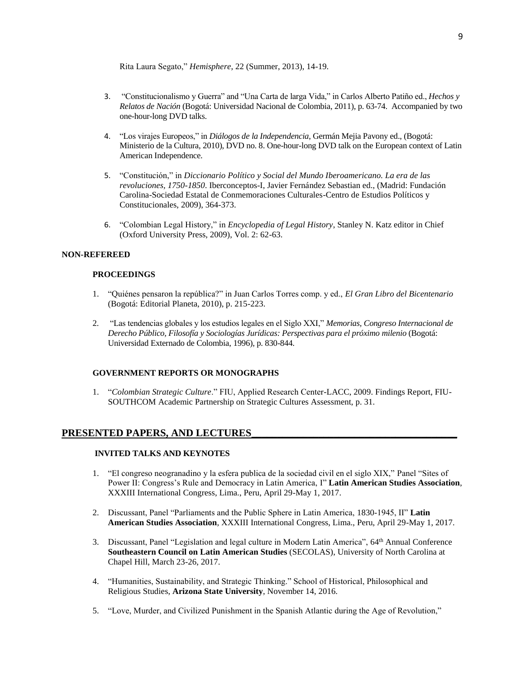Rita Laura Segato," *Hemisphere*, 22 (Summer, 2013), 14-19.

- 3. "Constitucionalismo y Guerra" and "Una Carta de larga Vida," in Carlos Alberto Patiño ed., *Hechos y Relatos de Nación* (Bogotá: Universidad Nacional de Colombia, 2011), p. 63-74. Accompanied by two one-hour-long DVD talks.
- 4. "Los virajes Europeos," in *Diálogos de la Independencia*, Germán Mejia Pavony ed., (Bogotá: Ministerio de la Cultura, 2010), DVD no. 8. One-hour-long DVD talk on the European context of Latin American Independence.
- 5. "Constitución," in *Diccionario Político y Social del Mundo Iberoamericano. La era de las revoluciones, 1750-1850*. Iberconceptos-I, Javier Fernández Sebastian ed., (Madrid: Fundación Carolina-Sociedad Estatal de Conmemoraciones Culturales-Centro de Estudios Políticos y Constitucionales, 2009), 364-373.
- 6. "Colombian Legal History," in *Encyclopedia of Legal History*, Stanley N. Katz editor in Chief (Oxford University Press, 2009), Vol. 2: 62-63.

## **NON-REFEREED**

## **PROCEEDINGS**

- 1. "Quiénes pensaron la república?" in Juan Carlos Torres comp. y ed., *El Gran Libro del Bicentenario* (Bogotá: Editorial Planeta, 2010), p. 215-223.
- 2. "Las tendencias globales y los estudios legales en el Siglo XXI," *Memorias, Congreso Internacional de Derecho Público, Filosofía y Sociologías Jurídicas: Perspectivas para el próximo milenio* (Bogotá: Universidad Externado de Colombia, 1996), p. 830-844.

### **GOVERNMENT REPORTS OR MONOGRAPHS**

1. "*Colombian Strategic Culture*." FIU, Applied Research Center-LACC, 2009. Findings Report, FIU-SOUTHCOM Academic Partnership on Strategic Cultures Assessment, p. 31.

# PRESENTED PAPERS, AND LECTURES

## **INVITED TALKS AND KEYNOTES**

- 1. "El congreso neogranadino y la esfera publica de la sociedad civil en el siglo XIX," Panel "Sites of Power II: Congress's Rule and Democracy in Latin America, I" **Latin American Studies Association**, XXXIII International Congress, Lima., Peru, April 29-May 1, 2017.
- 2. Discussant, Panel "Parliaments and the Public Sphere in Latin America, 1830-1945, II" **Latin American Studies Association**, XXXIII International Congress, Lima., Peru, April 29-May 1, 2017.
- 3. Discussant, Panel "Legislation and legal culture in Modern Latin America", 64<sup>th</sup> Annual Conference **Southeastern Council on Latin American Studies** (SECOLAS), University of North Carolina at Chapel Hill, March 23-26, 2017.
- 4. "Humanities, Sustainability, and Strategic Thinking." School of Historical, Philosophical and Religious Studies, **Arizona State University**, November 14, 2016.
- 5. "Love, Murder, and Civilized Punishment in the Spanish Atlantic during the Age of Revolution,"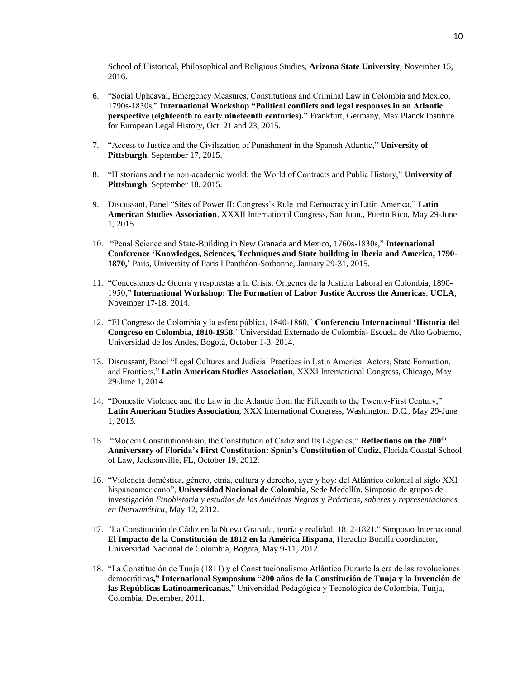School of Historical, Philosophical and Religious Studies, **Arizona State University**, November 15, 2016.

- 6. "Social Upheaval, Emergency Measures, Constitutions and Criminal Law in Colombia and Mexico, 1790s-1830s," **International Workshop "Political conflicts and legal responses in an Atlantic perspective (eighteenth to early nineteenth centuries)."** Frankfurt, Germany, Max Planck Institute for European Legal History, Oct. 21 and 23, 2015.
- 7. "Access to Justice and the Civilization of Punishment in the Spanish Atlantic," **University of Pittsburgh**, September 17, 2015.
- 8. "Historians and the non-academic world: the World of Contracts and Public History," **University of Pittsburgh**, September 18, 2015.
- 9. Discussant, Panel "Sites of Power II: Congress's Rule and Democracy in Latin America," **Latin American Studies Association**, XXXII International Congress, San Juan., Puerto Rico, May 29-June 1, 2015.
- 10. "Penal Science and State-Building in New Granada and Mexico, 1760s-1830s," **International Conference 'Knowledges, Sciences, Techniques and State building in Iberia and America, 1790- 1870,'** Paris, University of Paris I Panthéon-Sorbonne, January 29-31, 2015.
- 11. "Concesiones de Guerra y respuestas a la Crisis: Orígenes de la Justicia Laboral en Colombia, 1890- 1950," **International Workshop: The Formation of Labor Justice Accross the Americas**, **UCLA**, November 17-18, 2014.
- 12. "El Congreso de Colombia y la esfera pública, 1840-1860," **Conferencia Internacional 'Historia del Congreso en Colombia, 1810-1958**,' Universidad Externado de Colombia- Escuela de Alto Gobierno, Universidad de los Andes, Bogotá, October 1-3, 2014.
- 13. Discussant, Panel "Legal Cultures and Judicial Practices in Latin America: Actors, State Formation, and Frontiers," **Latin American Studies Association**, XXXI International Congress, Chicago, May 29-June 1, 2014
- 14. "Domestic Violence and the Law in the Atlantic from the Fifteenth to the Twenty-First Century," **Latin American Studies Association**, XXX International Congress, Washington. D.C., May 29-June 1, 2013.
- 15. "Modern Constitutionalism, the Constitution of Cadiz and Its Legacies," **Reflections on the 200th Anniversary of Florida's First Constitution: Spain's Constitution of Cadiz,** Florida Coastal School of Law, Jacksonville, FL, October 19, 2012.
- 16. "Violencia doméstica, género, etnia, cultura y derecho, ayer y hoy: del Atlántico colonial al siglo XXI hispanoamericano", **Universidad Nacional de Colombia**, Sede Medellín. Simposio de grupos de investigación *Etnohistoria y estudios de las Américas Negras* y *Prácticas, saberes y representaciones en Iberoamérica,* May 12, 2012.
- 17. "La Constitución de Cádiz en la Nueva Granada, teoría y realidad, 1812-1821." Simposio Internacional **El Impacto de la Constitución de 1812 en la América Hispana,** Heraclio Bonilla coordinator**,**  Universidad Nacional de Colombia, Bogotá, May 9-11, 2012.
- 18. "La Constitución de Tunja (1811) y el Constitucionalismo Atlántico Durante la era de las revoluciones democráticas**," International Symposium** "**200 años de la Constitución de Tunja y la Invención de las Repúblicas Latinoamericanas**," Universidad Pedagógica y Tecnológica de Colombia, Tunja, Colombia, December, 2011.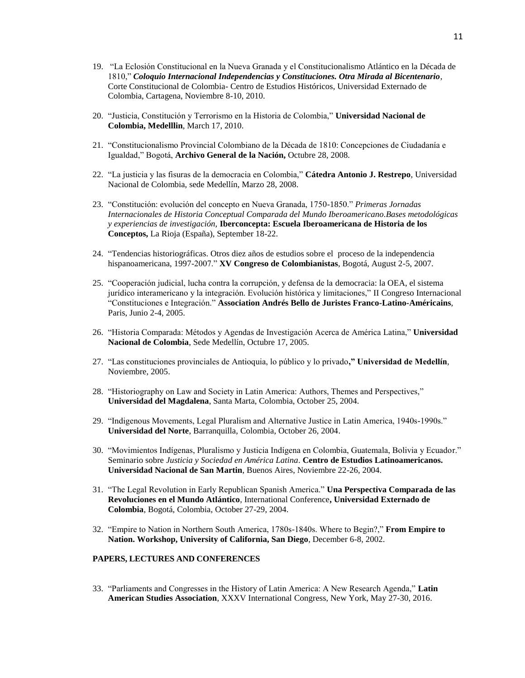- 19. "La Eclosión Constitucional en la Nueva Granada y el Constitucionalismo Atlántico en la Década de 1810," *Coloquio Internacional Independencias y Constituciones. Otra Mirada al Bicentenario*, Corte Constitucional de Colombia- Centro de Estudios Históricos, Universidad Externado de Colombia, Cartagena, Noviembre 8-10, 2010.
- 20. "Justicia, Constitución y Terrorismo en la Historia de Colombia," **Universidad Nacional de Colombia, Medelllin**, March 17, 2010.
- 21. "Constitucionalismo Provincial Colombiano de la Década de 1810: Concepciones de Ciudadanía e Igualdad," Bogotá, **Archivo General de la Nación,** Octubre 28, 2008.
- 22. "La justicia y las fisuras de la democracia en Colombia," **Cátedra Antonio J. Restrepo**, Universidad Nacional de Colombia, sede Medellín, Marzo 28, 2008.
- 23. "Constitución: evolución del concepto en Nueva Granada, 1750-1850." *Primeras Jornadas Internacionales de Historia Conceptual Comparada del Mundo Iberoamericano.Bases metodológicas y experiencias de investigación,* **Iberconcepta: Escuela Iberoamericana de Historia de los Conceptos,** La Rioja (España), September 18-22.
- 24. "Tendencias historiográficas. Otros diez años de estudios sobre el proceso de la independencia hispanoamericana, 1997-2007." **XV Congreso de Colombianistas**, Bogotá, August 2-5, 2007.
- 25. "Cooperación judicial, lucha contra la corrupción, y defensa de la democracia: la OEA, el sistema jurídico interamericano y la integración. Evolución histórica y limitaciones," II Congreso Internacional "Constituciones e Integración." **Association Andrés Bello de Juristes Franco-Latino-Américains**, Paris, Junio 2-4, 2005.
- 26. "Historia Comparada: Métodos y Agendas de Investigación Acerca de América Latina," **Universidad Nacional de Colombia**, Sede Medellín, Octubre 17, 2005.
- 27. "Las constituciones provinciales de Antioquia, lo público y lo privado**," Universidad de Medellín**, Noviembre, 2005.
- 28. "Historiography on Law and Society in Latin America: Authors, Themes and Perspectives," **Universidad del Magdalena**, Santa Marta, Colombia, October 25, 2004.
- 29. "Indigenous Movements, Legal Pluralism and Alternative Justice in Latin America, 1940s-1990s." **Universidad del Norte**, Barranquilla, Colombia, October 26, 2004.
- 30. "Movimientos Indígenas, Pluralismo y Justicia Indígena en Colombia, Guatemala, Bolivia y Ecuador." Seminario sobre *Justicia y Sociedad en América Latina*. **Centro de Estudios Latinoamericanos. Universidad Nacional de San Martin**, Buenos Aires, Noviembre 22-26, 2004.
- 31. "The Legal Revolution in Early Republican Spanish America." **Una Perspectiva Comparada de las Revoluciones en el Mundo Atlántico**, International Conference**, Universidad Externado de Colombia**, Bogotá, Colombia, October 27-29, 2004.
- 32. "Empire to Nation in Northern South America, 1780s-1840s. Where to Begin?," **From Empire to Nation. Workshop, University of California, San Diego**, December 6-8, 2002.

#### **PAPERS, LECTURES AND CONFERENCES**

33. "Parliaments and Congresses in the History of Latin America: A New Research Agenda," **Latin American Studies Association**, XXXV International Congress, New York, May 27-30, 2016.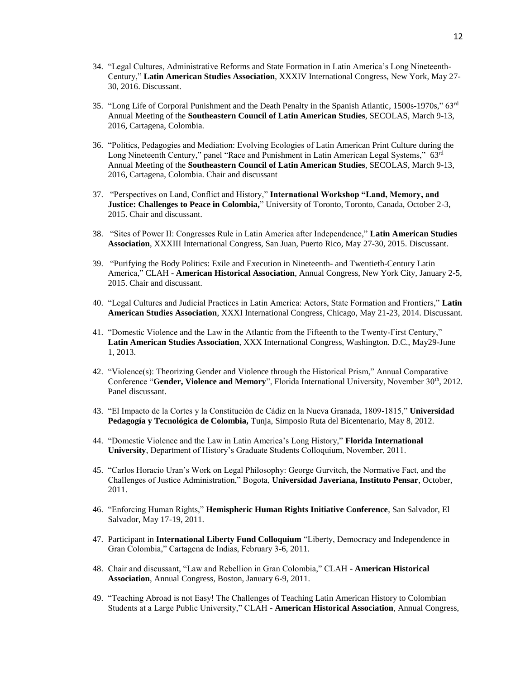- 34. "Legal Cultures, Administrative Reforms and State Formation in Latin America's Long Nineteenth-Century," **Latin American Studies Association**, XXXIV International Congress, New York, May 27- 30, 2016. Discussant.
- 35. "Long Life of Corporal Punishment and the Death Penalty in the Spanish Atlantic,  $1500s-1970s$ ,"  $63rd$ Annual Meeting of the **Southeastern Council of Latin American Studies**, SECOLAS, March 9-13, 2016, Cartagena, Colombia.
- 36. "Politics, Pedagogies and Mediation: Evolving Ecologies of Latin American Print Culture during the Long Nineteenth Century," panel "Race and Punishment in Latin American Legal Systems," 63<sup>rd</sup> Annual Meeting of the **Southeastern Council of Latin American Studies**, SECOLAS, March 9-13, 2016, Cartagena, Colombia. Chair and discussant
- 37. "Perspectives on Land, Conflict and History," **International Workshop "Land, Memory, and Justice: Challenges to Peace in Colombia,**" University of Toronto, Toronto, Canada, October 2-3, 2015. Chair and discussant.
- 38. "Sites of Power II: Congresses Rule in Latin America after Independence," **Latin American Studies Association**, XXXIII International Congress, San Juan, Puerto Rico, May 27-30, 2015. Discussant.
- 39. "Purifying the Body Politics: Exile and Execution in Nineteenth- and Twentieth-Century Latin America," CLAH - **American Historical Association**, Annual Congress, New York City, January 2-5, 2015. Chair and discussant.
- 40. "Legal Cultures and Judicial Practices in Latin America: Actors, State Formation and Frontiers," **Latin American Studies Association**, XXXI International Congress, Chicago, May 21-23, 2014. Discussant.
- 41. "Domestic Violence and the Law in the Atlantic from the Fifteenth to the Twenty-First Century," **Latin American Studies Association**, XXX International Congress, Washington. D.C., May29-June 1, 2013.
- 42. "Violence(s): Theorizing Gender and Violence through the Historical Prism," Annual Comparative Conference "**Gender, Violence and Memory**", Florida International University, November 30<sup>th</sup>, 2012. Panel discussant.
- 43. "El Impacto de la Cortes y la Constitución de Cádiz en la Nueva Granada, 1809-1815," **Universidad Pedagogía y Tecnológica de Colombia,** Tunja, Simposio Ruta del Bicentenario, May 8, 2012.
- 44. "Domestic Violence and the Law in Latin America's Long History," **Florida International University**, Department of History's Graduate Students Colloquium, November, 2011.
- 45. "Carlos Horacio Uran's Work on Legal Philosophy: George Gurvitch, the Normative Fact, and the Challenges of Justice Administration," Bogota, **Universidad Javeriana, Instituto Pensar**, October, 2011.
- 46. "Enforcing Human Rights," **Hemispheric Human Rights Initiative Conference**, San Salvador, El Salvador, May 17-19, 2011.
- 47. Participant in **International Liberty Fund Colloquium** "Liberty, Democracy and Independence in Gran Colombia," Cartagena de Indias, February 3-6, 2011.
- 48. Chair and discussant, "Law and Rebellion in Gran Colombia," CLAH **American Historical Association**, Annual Congress, Boston, January 6-9, 2011.
- 49. "Teaching Abroad is not Easy! The Challenges of Teaching Latin American History to Colombian Students at a Large Public University," CLAH - **American Historical Association**, Annual Congress,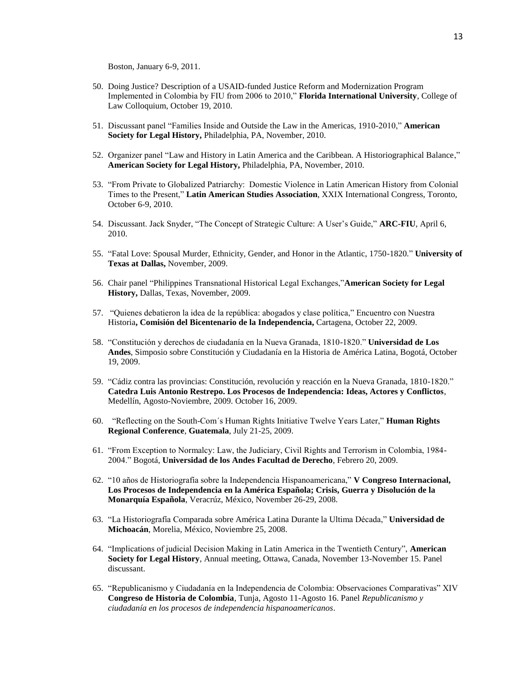Boston, January 6-9, 2011.

- 50. Doing Justice? Description of a USAID-funded Justice Reform and Modernization Program Implemented in Colombia by FIU from 2006 to 2010," **Florida International University**, College of Law Colloquium, October 19, 2010.
- 51. Discussant panel "Families Inside and Outside the Law in the Americas, 1910-2010," **American Society for Legal History,** Philadelphia, PA, November, 2010.
- 52. Organizer panel "Law and History in Latin America and the Caribbean. A Historiographical Balance," **American Society for Legal History,** Philadelphia, PA, November, 2010.
- 53. "From Private to Globalized Patriarchy: Domestic Violence in Latin American History from Colonial Times to the Present," **Latin American Studies Association**, XXIX International Congress, Toronto, October 6-9, 2010.
- 54. Discussant. Jack Snyder, "The Concept of Strategic Culture: A User's Guide," **ARC-FIU**, April 6, 2010.
- 55. "Fatal Love: Spousal Murder, Ethnicity, Gender, and Honor in the Atlantic, 1750-1820." **University of Texas at Dallas,** November, 2009.
- 56. Chair panel "Philippines Transnational Historical Legal Exchanges,"**American Society for Legal History,** Dallas, Texas, November, 2009.
- 57. "Quienes debatieron la idea de la república: abogados y clase política," Encuentro con Nuestra Historia**, Comisión del Bicentenario de la Independencia,** Cartagena, October 22, 2009.
- 58. "Constitución y derechos de ciudadanía en la Nueva Granada, 1810-1820." **Universidad de Los Andes**, Simposio sobre Constitución y Ciudadanía en la Historia de América Latina, Bogotá, October 19, 2009.
- 59. "Cádiz contra las provincias: Constitución, revolución y reacción en la Nueva Granada, 1810-1820." **Catedra Luis Antonio Restrepo. Los Procesos de Independencia: Ideas, Actores y Conflictos**, Medellín, Agosto-Noviembre, 2009. October 16, 2009.
- 60. "Reflecting on the South-Com´s Human Rights Initiative Twelve Years Later," **Human Rights Regional Conference**, **Guatemala**, July 21-25, 2009.
- 61. "From Exception to Normalcy: Law, the Judiciary, Civil Rights and Terrorism in Colombia, 1984- 2004." Bogotá, **Universidad de los Andes Facultad de Derecho**, Febrero 20, 2009.
- 62. "10 años de Historiografía sobre la Independencia Hispanoamericana," **V Congreso Internacional, Los Procesos de Independencia en la América Española; Crisis, Guerra y Disolución de la Monarquía Española**, Veracrúz, México, November 26-29, 2008.
- 63. "La Historiografía Comparada sobre América Latina Durante la Ultima Década," **Universidad de Michoacán**, Morelia, México, Noviembre 25, 2008.
- 64. "Implications of judicial Decision Making in Latin America in the Twentieth Century", **American Society for Legal History**, Annual meeting, Ottawa, Canada, November 13-November 15. Panel discussant.
- 65. "Republicanismo y Ciudadanía en la Independencia de Colombia: Observaciones Comparativas" XIV **Congreso de Historia de Colombia**, Tunja, Agosto 11-Agosto 16. Panel *Republicanismo y ciudadanía en los procesos de independencia hispanoamericanos*.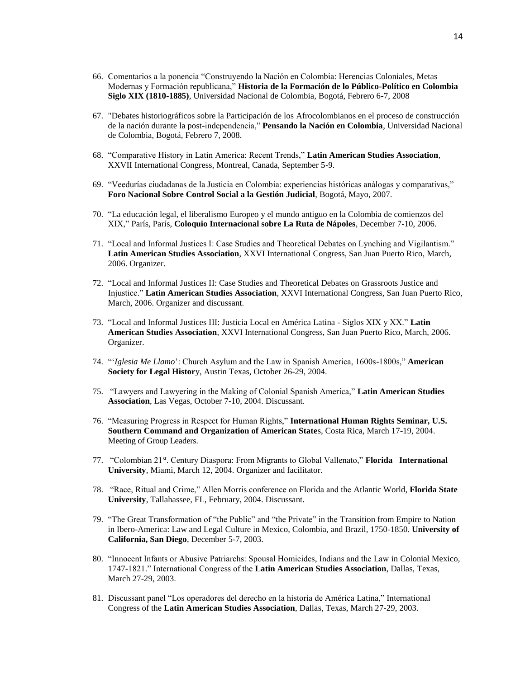- 66. Comentarios a la ponencia "Construyendo la Nación en Colombia: Herencias Coloniales, Metas Modernas y Formación republicana," **Historia de la Formación de lo Público-Político en Colombia Siglo XIX (1810-1885)**, Universidad Nacional de Colombia, Bogotá, Febrero 6-7, 2008
- 67. "Debates historiográficos sobre la Participación de los Afrocolombianos en el proceso de construcción de la nación durante la post-independencia," **Pensando la Nación en Colombia**, Universidad Nacional de Colombia, Bogotá, Febrero 7, 2008.
- 68. "Comparative History in Latin America: Recent Trends," **Latin American Studies Association**, XXVII International Congress, Montreal, Canada, September 5-9.
- 69. "Veedurías ciudadanas de la Justicia en Colombia: experiencias históricas análogas y comparativas," **Foro Nacional Sobre Control Social a la Gestión Judicial**, Bogotá, Mayo, 2007.
- 70. "La educación legal, el liberalismo Europeo y el mundo antiguo en la Colombia de comienzos del XIX," París, París, **Coloquio Internacional sobre La Ruta de Nápoles**, December 7-10, 2006.
- 71. "Local and Informal Justices I: Case Studies and Theoretical Debates on Lynching and Vigilantism." **Latin American Studies Association**, XXVI International Congress, San Juan Puerto Rico, March, 2006. Organizer.
- 72. "Local and Informal Justices II: Case Studies and Theoretical Debates on Grassroots Justice and Injustice." **Latin American Studies Association**, XXVI International Congress, San Juan Puerto Rico, March, 2006. Organizer and discussant.
- 73. "Local and Informal Justices III: Justicia Local en América Latina Siglos XIX y XX." **Latin American Studies Association**, XXVI International Congress, San Juan Puerto Rico, March, 2006. Organizer.
- 74. "'*Iglesia Me Llamo*': Church Asylum and the Law in Spanish America, 1600s-1800s," **American Society for Legal Histor**y, Austin Texas, October 26-29, 2004.
- 75. "Lawyers and Lawyering in the Making of Colonial Spanish America," **Latin American Studies Association**, Las Vegas, October 7-10, 2004. Discussant.
- 76. "Measuring Progress in Respect for Human Rights," **International Human Rights Seminar, U.S. Southern Command and Organization of American State**s, Costa Rica, March 17-19, 2004. Meeting of Group Leaders.
- 77. "Colombian 21<sup>st</sup>. Century Diaspora: From Migrants to Global Vallenato," **Florida International University**, Miami, March 12, 2004. Organizer and facilitator.
- 78. "Race, Ritual and Crime," Allen Morris conference on Florida and the Atlantic World, **Florida State University**, Tallahassee, FL, February, 2004. Discussant.
- 79. "The Great Transformation of "the Public" and "the Private" in the Transition from Empire to Nation in Ibero-America: Law and Legal Culture in Mexico, Colombia, and Brazil, 1750-1850. **University of California, San Diego**, December 5-7, 2003.
- 80. "Innocent Infants or Abusive Patriarchs: Spousal Homicides, Indians and the Law in Colonial Mexico, 1747-1821." International Congress of the **Latin American Studies Association**, Dallas, Texas, March 27-29, 2003.
- 81. Discussant panel "Los operadores del derecho en la historia de América Latina," International Congress of the **Latin American Studies Association**, Dallas, Texas, March 27-29, 2003.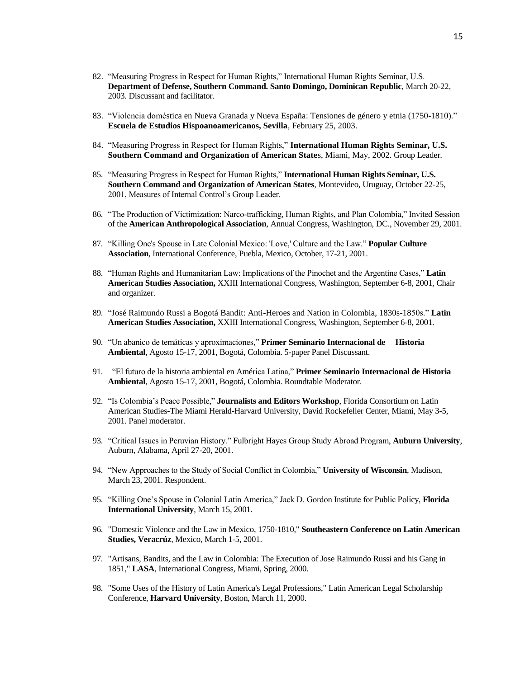- 82. "Measuring Progress in Respect for Human Rights," International Human Rights Seminar, U.S. **Department of Defense, Southern Command. Santo Domingo, Dominican Republic**, March 20-22, 2003. Discussant and facilitator.
- 83. "Violencia doméstica en Nueva Granada y Nueva España: Tensiones de género y etnia (1750-1810)." **Escuela de Estudios Hispoanoamericanos, Sevilla**, February 25, 2003.
- 84. "Measuring Progress in Respect for Human Rights," **International Human Rights Seminar, U.S. Southern Command and Organization of American State**s, Miami, May, 2002. Group Leader.
- 85. "Measuring Progress in Respect for Human Rights," **International Human Rights Seminar, U.S. Southern Command and Organization of American States**, Montevideo, Uruguay, October 22-25, 2001, Measures of Internal Control's Group Leader.
- 86. "The Production of Victimization: Narco-trafficking, Human Rights, and Plan Colombia," Invited Session of the **American Anthropological Association**, Annual Congress, Washington, DC., November 29, 2001.
- 87. "Killing One's Spouse in Late Colonial Mexico: 'Love,' Culture and the Law." **Popular Culture Association**, International Conference, Puebla, Mexico, October, 17-21, 2001.
- 88. "Human Rights and Humanitarian Law: Implications of the Pinochet and the Argentine Cases," **Latin American Studies Association,** XXIII International Congress, Washington, September 6-8, 2001, Chair and organizer.
- 89. "José Raimundo Russi a Bogotá Bandit: Anti-Heroes and Nation in Colombia, 1830s-1850s." **Latin American Studies Association,** XXIII International Congress, Washington, September 6-8, 2001.
- 90. "Un abanico de temáticas y aproximaciones," **Primer Seminario Internacional de Historia Ambiental**, Agosto 15-17, 2001, Bogotá, Colombia. 5-paper Panel Discussant.
- 91. "El futuro de la historia ambiental en América Latina," **Primer Seminario Internacional de Historia Ambiental**, Agosto 15-17, 2001, Bogotá, Colombia. Roundtable Moderator.
- 92. "Is Colombia's Peace Possible," **Journalists and Editors Workshop**, Florida Consortium on Latin American Studies-The Miami Herald-Harvard University, David Rockefeller Center, Miami, May 3-5, 2001. Panel moderator.
- 93. "Critical Issues in Peruvian History." Fulbright Hayes Group Study Abroad Program, **Auburn University**, Auburn, Alabama, April 27-20, 2001.
- 94. "New Approaches to the Study of Social Conflict in Colombia," **University of Wisconsin**, Madison, March 23, 2001. Respondent.
- 95. "Killing One's Spouse in Colonial Latin America," Jack D. Gordon Institute for Public Policy, **Florida International University**, March 15, 2001.
- 96. "Domestic Violence and the Law in Mexico, 1750-1810," **Southeastern Conference on Latin American Studies, Veracrúz**, Mexico, March 1-5, 2001.
- 97. "Artisans, Bandits, and the Law in Colombia: The Execution of Jose Raimundo Russi and his Gang in 1851," **LASA**, International Congress, Miami, Spring, 2000.
- 98. "Some Uses of the History of Latin America's Legal Professions," Latin American Legal Scholarship Conference, **Harvard University**, Boston, March 11, 2000.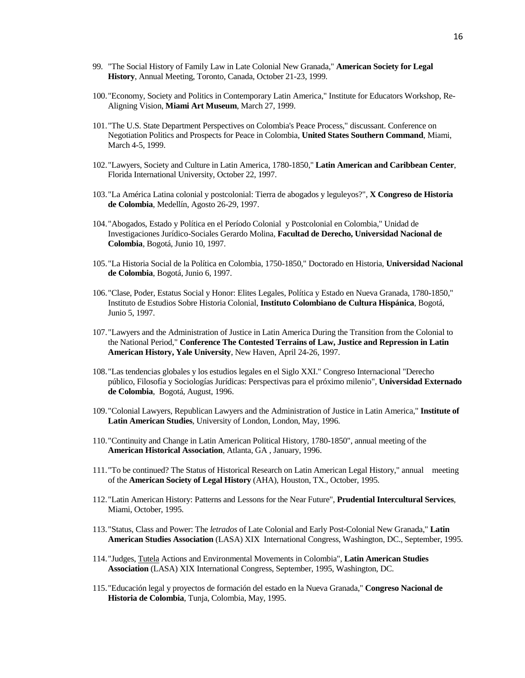- 99. "The Social History of Family Law in Late Colonial New Granada," **American Society for Legal History**, Annual Meeting, Toronto, Canada, October 21-23, 1999.
- 100."Economy, Society and Politics in Contemporary Latin America," Institute for Educators Workshop, Re-Aligning Vision, **Miami Art Museum**, March 27, 1999.
- 101."The U.S. State Department Perspectives on Colombia's Peace Process," discussant. Conference on Negotiation Politics and Prospects for Peace in Colombia, **United States Southern Command**, Miami, March 4-5, 1999.
- 102."Lawyers, Society and Culture in Latin America, 1780-1850," **Latin American and Caribbean Center**, Florida International University, October 22, 1997.
- 103."La América Latina colonial y postcolonial: Tierra de abogados y leguleyos?", **X Congreso de Historia de Colombia**, Medellín, Agosto 26-29, 1997.
- 104."Abogados, Estado y Política en el Período Colonial y Postcolonial en Colombia," Unidad de Investigaciones Jurídico-Sociales Gerardo Molina, **Facultad de Derecho, Universidad Nacional de Colombia**, Bogotá, Junio 10, 1997.
- 105."La Historia Social de la Política en Colombia, 1750-1850," Doctorado en Historia, **Universidad Nacional de Colombia**, Bogotá, Junio 6, 1997.
- 106."Clase, Poder, Estatus Social y Honor: Elites Legales, Política y Estado en Nueva Granada, 1780-1850," Instituto de Estudios Sobre Historia Colonial, **Instituto Colombiano de Cultura Hispánica**, Bogotá, Junio 5, 1997.
- 107."Lawyers and the Administration of Justice in Latin America During the Transition from the Colonial to the National Period," **Conference The Contested Terrains of Law, Justice and Repression in Latin American History, Yale University**, New Haven, April 24-26, 1997.
- 108."Las tendencias globales y los estudios legales en el Siglo XXI." Congreso Internacional "Derecho público, Filosofía y Sociologías Jurídicas: Perspectivas para el próximo milenio", **Universidad Externado de Colombia**, Bogotá, August, 1996.
- 109."Colonial Lawyers, Republican Lawyers and the Administration of Justice in Latin America," **Institute of Latin American Studies**, University of London, London, May, 1996.
- 110."Continuity and Change in Latin American Political History, 1780-1850", annual meeting of the **American Historical Association**, Atlanta, GA , January, 1996.
- 111."To be continued? The Status of Historical Research on Latin American Legal History," annual meeting of the **American Society of Legal History** (AHA), Houston, TX., October, 1995.
- 112."Latin American History: Patterns and Lessons for the Near Future", **Prudential Intercultural Services**, Miami, October, 1995.
- 113."Status, Class and Power: The *letrados* of Late Colonial and Early Post-Colonial New Granada," **Latin American Studies Association** (LASA) XIX International Congress, Washington, DC., September, 1995.
- 114."Judges, Tutela Actions and Environmental Movements in Colombia", **Latin American Studies Association** (LASA) XIX International Congress, September, 1995, Washington, DC.
- 115."Educación legal y proyectos de formación del estado en la Nueva Granada," **Congreso Nacional de Historia de Colombia**, Tunja, Colombia, May, 1995.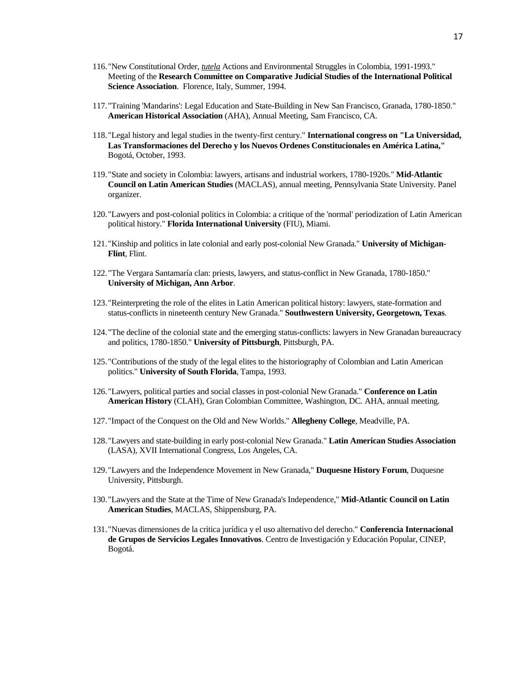- 116."New Constitutional Order, *tutela* Actions and Environmental Struggles in Colombia, 1991-1993." Meeting of the **Research Committee on Comparative Judicial Studies of the International Political Science Association**. Florence, Italy, Summer, 1994.
- 117."Training 'Mandarins': Legal Education and State-Building in New San Francisco, Granada, 1780-1850." **American Historical Association** (AHA), Annual Meeting, Sam Francisco, CA.
- 118."Legal history and legal studies in the twenty-first century." **International congress on "La Universidad, Las Transformaciones del Derecho y los Nuevos Ordenes Constitucionales en América Latina,"** Bogotá, October, 1993.
- 119."State and society in Colombia: lawyers, artisans and industrial workers, 1780-1920s." **Mid-Atlantic Council on Latin American Studies** (MACLAS), annual meeting, Pennsylvania State University. Panel organizer.
- 120."Lawyers and post-colonial politics in Colombia: a critique of the 'normal' periodization of Latin American political history." **Florida International University** (FIU), Miami.
- 121."Kinship and politics in late colonial and early post-colonial New Granada." **University of Michigan-Flint**, Flint.
- 122."The Vergara Santamaría clan: priests, lawyers, and status-conflict in New Granada, 1780-1850." **University of Michigan, Ann Arbor**.
- 123."Reinterpreting the role of the elites in Latin American political history: lawyers, state-formation and status-conflicts in nineteenth century New Granada." **Southwestern University, Georgetown, Texas**.
- 124."The decline of the colonial state and the emerging status-conflicts: lawyers in New Granadan bureaucracy and politics, 1780-1850." **University of Pittsburgh**, Pittsburgh, PA.
- 125."Contributions of the study of the legal elites to the historiography of Colombian and Latin American politics." **University of South Florida**, Tampa, 1993.
- 126."Lawyers, political parties and social classes in post-colonial New Granada." **Conference on Latin American History** (CLAH), Gran Colombian Committee, Washington, DC. AHA, annual meeting.
- 127."Impact of the Conquest on the Old and New Worlds." **Allegheny College**, Meadville, PA.
- 128."Lawyers and state-building in early post-colonial New Granada." **Latin American Studies Association** (LASA), XVII International Congress, Los Angeles, CA.
- 129."Lawyers and the Independence Movement in New Granada," **Duquesne History Forum**, Duquesne University, Pittsburgh.
- 130."Lawyers and the State at the Time of New Granada's Independence," **Mid-Atlantic Council on Latin American Studies**, MACLAS, Shippensburg, PA.
- 131."Nuevas dimensiones de la crítica jurídica y el uso alternativo del derecho." **Conferencia Internacional de Grupos de Servicios Legales Innovativos**. Centro de Investigación y Educación Popular, CINEP, Bogotá.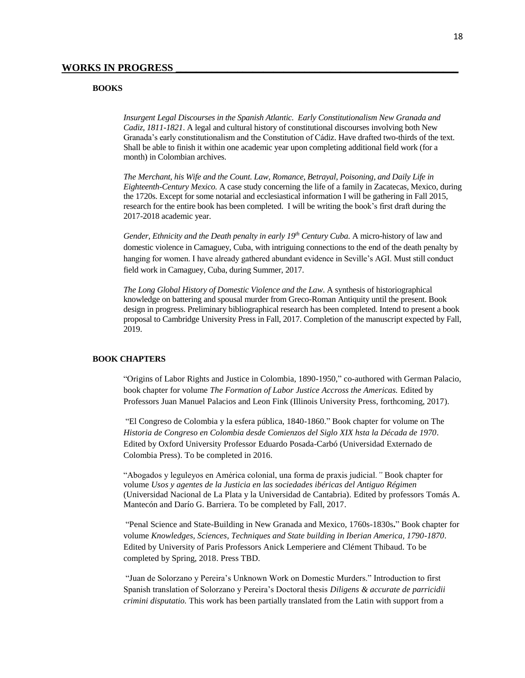#### **BOOKS**

*Insurgent Legal Discourses in the Spanish Atlantic. Early Constitutionalism New Granada and Cadiz, 1811-1821*. A legal and cultural history of constitutional discourses involving both New Granada's early constitutionalism and the Constitution of Cádiz. Have drafted two-thirds of the text. Shall be able to finish it within one academic year upon completing additional field work (for a month) in Colombian archives.

*The Merchant, his Wife and the Count. Law, Romance, Betrayal, Poisoning, and Daily Life in Eighteenth-Century Mexico.* A case study concerning the life of a family in Zacatecas, Mexico, during the 1720s. Except for some notarial and ecclesiastical information I will be gathering in Fall 2015, research for the entire book has been completed. I will be writing the book's first draft during the 2017-2018 academic year.

*Gender, Ethnicity and the Death penalty in early 19th Century Cuba*. A micro-history of law and domestic violence in Camaguey, Cuba, with intriguing connections to the end of the death penalty by hanging for women. I have already gathered abundant evidence in Seville's AGI. Must still conduct field work in Camaguey, Cuba, during Summer, 2017.

*The Long Global History of Domestic Violence and the Law*. A synthesis of historiographical knowledge on battering and spousal murder from Greco-Roman Antiquity until the present. Book design in progress. Preliminary bibliographical research has been completed. Intend to present a book proposal to Cambridge University Press in Fall, 2017. Completion of the manuscript expected by Fall, 2019.

#### **BOOK CHAPTERS**

"Origins of Labor Rights and Justice in Colombia, 1890-1950," co-authored with German Palacio, book chapter for volume *The Formation of Labor Justice Accross the Americas.* Edited by Professors Juan Manuel Palacios and Leon Fink (Illinois University Press, forthcoming, 2017).

"El Congreso de Colombia y la esfera pública, 1840-1860." Book chapter for volume on The *Historia de Congreso en Colombia desde Comienzos del Siglo XIX hsta la Década de 1970.* Edited by Oxford University Professor Eduardo Posada-Carbó (Universidad Externado de Colombia Press). To be completed in 2016.

"Abogados y leguleyos en América colonial, una forma de praxis judicial*."* Book chapter for volume *Usos y agentes de la Justicia en las sociedades ibéricas del Antiguo Régimen* (Universidad Nacional de La Plata y la Universidad de Cantabria). Edited by professors Tomás A. Mantecón and Darío G. Barriera. To be completed by Fall, 2017.

"Penal Science and State-Building in New Granada and Mexico, 1760s-1830s**.**" Book chapter for volume *Knowledges, Sciences, Techniques and State building in Iberian America, 1790-1870*. Edited by University of Paris Professors Anick Lemperiere and Clément Thibaud. To be completed by Spring, 2018. Press TBD.

"Juan de Solorzano y Pereira's Unknown Work on Domestic Murders." Introduction to first Spanish translation of Solorzano y Pereira's Doctoral thesis *Diligens & accurate de parricidii crimini disputatio.* This work has been partially translated from the Latin with support from a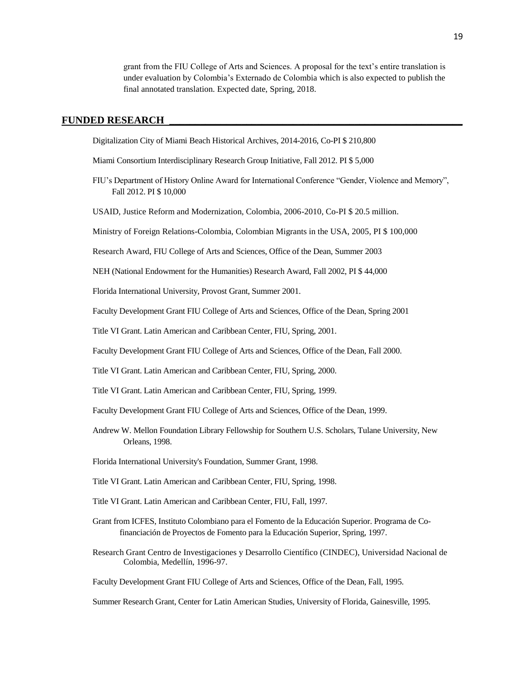grant from the FIU College of Arts and Sciences. A proposal for the text's entire translation is under evaluation by Colombia's Externado de Colombia which is also expected to publish the final annotated translation. Expected date, Spring, 2018.

## **FUNDED RESEARCH \_\_\_\_\_\_\_\_\_\_\_\_\_\_\_\_\_\_\_\_\_\_\_\_\_\_\_\_\_\_\_\_\_\_\_\_\_\_\_\_\_\_\_\_\_\_\_\_\_\_\_\_\_\_\_\_\_**

Digitalization City of Miami Beach Historical Archives, 2014-2016, Co-PI \$ 210,800

Miami Consortium Interdisciplinary Research Group Initiative, Fall 2012. PI \$ 5,000

FIU's Department of History Online Award for International Conference "Gender, Violence and Memory", Fall 2012. PI \$ 10,000

USAID, Justice Reform and Modernization, Colombia, 2006-2010, Co-PI \$ 20.5 million.

Ministry of Foreign Relations-Colombia, Colombian Migrants in the USA, 2005, PI \$ 100,000

Research Award, FIU College of Arts and Sciences, Office of the Dean, Summer 2003

NEH (National Endowment for the Humanities) Research Award, Fall 2002, PI \$ 44,000

Florida International University, Provost Grant, Summer 2001.

Faculty Development Grant FIU College of Arts and Sciences, Office of the Dean, Spring 2001

Title VI Grant. Latin American and Caribbean Center, FIU, Spring, 2001.

Faculty Development Grant FIU College of Arts and Sciences, Office of the Dean, Fall 2000.

Title VI Grant. Latin American and Caribbean Center, FIU, Spring, 2000.

Title VI Grant. Latin American and Caribbean Center, FIU, Spring, 1999.

Faculty Development Grant FIU College of Arts and Sciences, Office of the Dean, 1999.

Andrew W. Mellon Foundation Library Fellowship for Southern U.S. Scholars, Tulane University, New Orleans, 1998.

Florida International University's Foundation, Summer Grant, 1998.

Title VI Grant. Latin American and Caribbean Center, FIU, Spring, 1998.

- Title VI Grant. Latin American and Caribbean Center, FIU, Fall, 1997.
- Grant from ICFES, Instituto Colombiano para el Fomento de la Educación Superior. Programa de Cofinanciación de Proyectos de Fomento para la Educación Superior, Spring, 1997.
- Research Grant Centro de Investigaciones y Desarrollo Científico (CINDEC), Universidad Nacional de Colombia, Medellín, 1996-97.

Faculty Development Grant FIU College of Arts and Sciences, Office of the Dean, Fall, 1995.

Summer Research Grant, Center for Latin American Studies, University of Florida, Gainesville, 1995.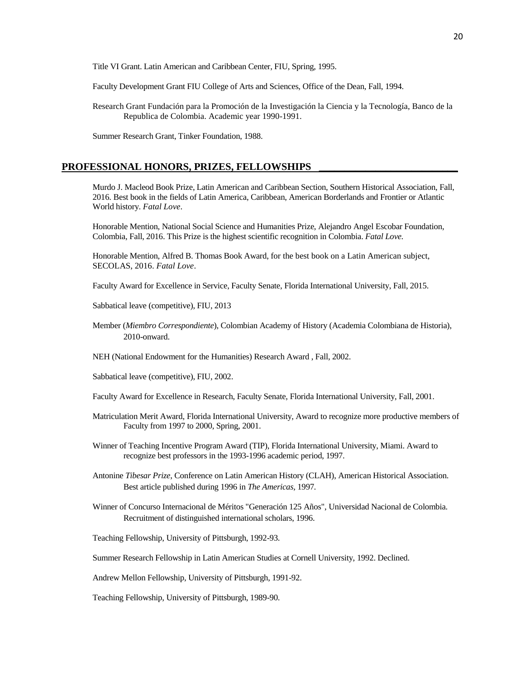Title VI Grant. Latin American and Caribbean Center, FIU, Spring, 1995.

Faculty Development Grant FIU College of Arts and Sciences, Office of the Dean, Fall, 1994.

Research Grant Fundación para la Promoción de la Investigación la Ciencia y la Tecnología, Banco de la Republica de Colombia. Academic year 1990-1991.

Summer Research Grant, Tinker Foundation, 1988.

#### PROFESSIONAL HONORS, PRIZES, FELLOWSHIPS

Murdo J. Macleod Book Prize, Latin American and Caribbean Section, Southern Historical Association, Fall, 2016. Best book in the fields of Latin America, Caribbean, American Borderlands and Frontier or Atlantic World history. *Fatal Love*.

Honorable Mention, National Social Science and Humanities Prize, Alejandro Angel Escobar Foundation, Colombia, Fall, 2016. This Prize is the highest scientific recognition in Colombia. *Fatal Love.*

Honorable Mention, Alfred B. Thomas Book Award, for the best book on a Latin American subject, SECOLAS, 2016. *Fatal Love*.

Faculty Award for Excellence in Service, Faculty Senate, Florida International University, Fall, 2015.

Sabbatical leave (competitive), FIU, 2013

Member (*Miembro Correspondiente*), Colombian Academy of History (Academia Colombiana de Historia), 2010-onward.

NEH (National Endowment for the Humanities) Research Award , Fall, 2002.

Sabbatical leave (competitive), FIU, 2002.

Faculty Award for Excellence in Research, Faculty Senate, Florida International University, Fall, 2001.

- Matriculation Merit Award, Florida International University, Award to recognize more productive members of Faculty from 1997 to 2000, Spring, 2001.
- Winner of Teaching Incentive Program Award (TIP), Florida International University, Miami. Award to recognize best professors in the 1993-1996 academic period, 1997.
- Antonine *Tibesar Prize*, Conference on Latin American History (CLAH), American Historical Association. Best article published during 1996 in *The Americas,* 1997*.*
- Winner of Concurso Internacional de Méritos "Generación 125 Años", Universidad Nacional de Colombia. Recruitment of distinguished international scholars, 1996.

Teaching Fellowship, University of Pittsburgh, 1992-93.

Summer Research Fellowship in Latin American Studies at Cornell University, 1992. Declined.

Andrew Mellon Fellowship, University of Pittsburgh, 1991-92.

Teaching Fellowship, University of Pittsburgh, 1989-90.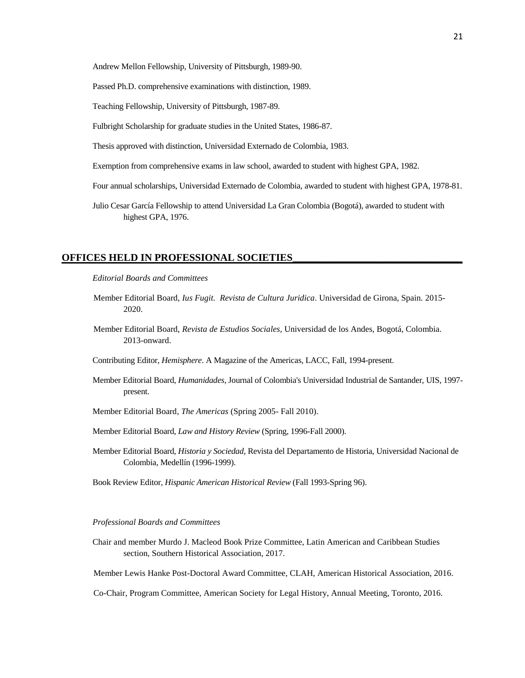Andrew Mellon Fellowship, University of Pittsburgh, 1989-90.

Passed Ph.D. comprehensive examinations with distinction, 1989.

Teaching Fellowship, University of Pittsburgh, 1987-89.

Fulbright Scholarship for graduate studies in the United States, 1986-87.

Thesis approved with distinction, Universidad Externado de Colombia, 1983.

Exemption from comprehensive exams in law school, awarded to student with highest GPA, 1982.

Four annual scholarships, Universidad Externado de Colombia, awarded to student with highest GPA, 1978-81.

Julio Cesar García Fellowship to attend Universidad La Gran Colombia (Bogotá), awarded to student with highest GPA, 1976.

#### **OFFICES HELD IN PROFESSIONAL SOCIETIES\_\_\_\_\_\_\_\_\_\_\_\_\_\_\_\_\_\_\_\_\_\_\_\_\_\_\_\_\_\_\_\_\_**

*Editorial Boards and Committees*

- Member Editorial Board, *Ius Fugit. Revista de Cultura Juridica*. Universidad de Girona, Spain. 2015- 2020.
- Member Editorial Board, *Revista de Estudios Sociales*, Universidad de los Andes, Bogotá, Colombia. 2013-onward.
- Contributing Editor, *Hemisphere*. A Magazine of the Americas, LACC, Fall, 1994-present.
- Member Editorial Board, *Humanidades*, Journal of Colombia's Universidad Industrial de Santander, UIS, 1997 present.
- Member Editorial Board*, The Americas* (Spring 2005- Fall 2010).
- Member Editorial Board, *Law and History Review* (Spring, 1996-Fall 2000).
- Member Editorial Board, *Historia y Sociedad*, Revista del Departamento de Historia, Universidad Nacional de Colombia, Medellín (1996-1999).

Book Review Editor*, Hispanic American Historical Review* (Fall 1993-Spring 96).

#### *Professional Boards and Committees*

Chair and member Murdo J. Macleod Book Prize Committee, Latin American and Caribbean Studies section, Southern Historical Association, 2017.

Member Lewis Hanke Post-Doctoral Award Committee, CLAH, American Historical Association, 2016.

Co-Chair, Program Committee, American Society for Legal History, Annual Meeting, Toronto, 2016.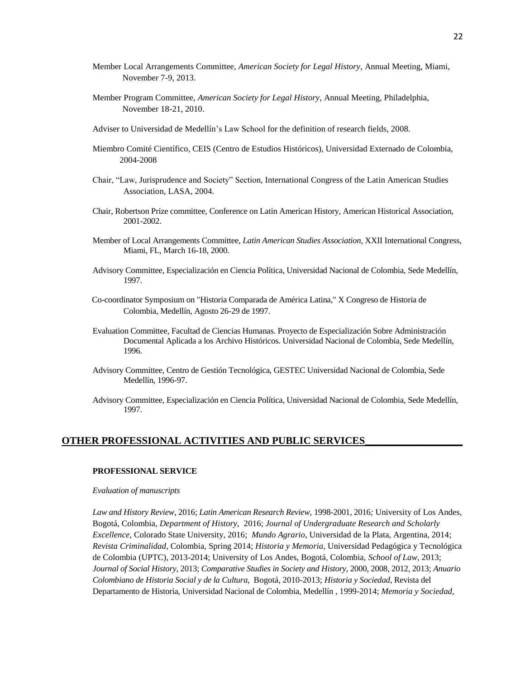- Member Local Arrangements Committee, *American Society for Legal History*, Annual Meeting, Miami, November 7-9, 2013.
- Member Program Committee, *American Society for Legal History*, Annual Meeting, Philadelphia, November 18-21, 2010.
- Adviser to Universidad de Medellín's Law School for the definition of research fields, 2008.
- Miembro Comité Científico, CEIS (Centro de Estudios Históricos), Universidad Externado de Colombia, 2004-2008
- Chair, "Law, Jurisprudence and Society" Section, International Congress of the Latin American Studies Association, LASA, 2004.
- Chair, Robertson Prize committee, Conference on Latin American History, American Historical Association, 2001-2002.
- Member of Local Arrangements Committee, *Latin American Studies Association*, XXII International Congress, Miami, FL, March 16-18, 2000.
- Advisory Committee, Especialización en Ciencia Política, Universidad Nacional de Colombia, Sede Medellín, 1997.
- Co-coordinator Symposium on "Historia Comparada de América Latina," X Congreso de Historia de Colombia, Medellín, Agosto 26-29 de 1997.
- Evaluation Committee, Facultad de Ciencias Humanas. Proyecto de Especialización Sobre Administración Documental Aplicada a los Archivo Históricos. Universidad Nacional de Colombia, Sede Medellín, 1996.
- Advisory Committee, Centro de Gestión Tecnológica, GESTEC Universidad Nacional de Colombia, Sede Medellín, 1996-97.
- Advisory Committee, Especialización en Ciencia Política, Universidad Nacional de Colombia, Sede Medellín, 1997.

## **OTHER PROFESSIONAL ACTIVITIES AND PUBLIC SERVICES\_**

## **PROFESSIONAL SERVICE**

#### *Evaluation of manuscripts*

*Law and History Review*, 2016; *Latin American Research Review*, 1998-2001, 2016*;* University of Los Andes, Bogotá, Colombia, *Department of History,* 2016; *Journal of Undergraduate Research and Scholarly Excellence*, Colorado State University, 2016; *Mundo Agrario*, Universidad de la Plata, Argentina, 2014; *Revista Criminalidad*, Colombia, Spring 2014; *Historia y Memoria*, Universidad Pedagógica y Tecnológica de Colombia (UPTC), 2013-2014; University of Los Andes, Bogotá, Colombia, *School of Law*, 2013; *Journal of Social History*, 2013; *Comparative Studies in Society and History,* 2000, 2008, 2012, 2013; *Anuario Colombiano de Historia Social y de la Cultura,* Bogotá, 2010-2013; *Historia y Sociedad*, Revista del Departamento de Historia, Universidad Nacional de Colombia, Medellín , 1999-2014; *Memoria y Sociedad,*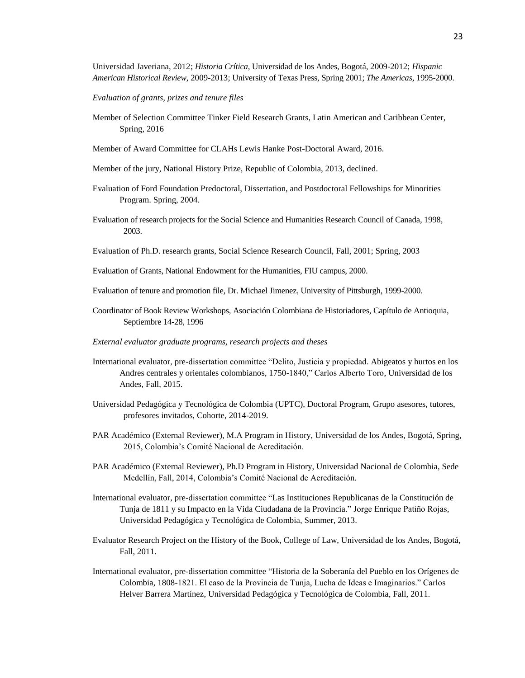Universidad Javeriana, 2012; *Historia Crítica,* Universidad de los Andes*,* Bogotá, 2009-2012; *Hispanic American Historical Review*, 2009-2013; University of Texas Press, Spring 2001; *The Americas*, 1995-2000.

*Evaluation of grants, prizes and tenure files*

- Member of Selection Committee Tinker Field Research Grants, Latin American and Caribbean Center, Spring, 2016
- Member of Award Committee for CLAHs Lewis Hanke Post-Doctoral Award, 2016.
- Member of the jury, National History Prize, Republic of Colombia, 2013, declined.
- Evaluation of Ford Foundation Predoctoral, Dissertation, and Postdoctoral Fellowships for Minorities Program. Spring, 2004.
- Evaluation of research projects for the Social Science and Humanities Research Council of Canada, 1998, 2003.
- Evaluation of Ph.D. research grants, Social Science Research Council, Fall, 2001; Spring, 2003
- Evaluation of Grants, National Endowment for the Humanities, FIU campus, 2000.
- Evaluation of tenure and promotion file, Dr. Michael Jimenez, University of Pittsburgh, 1999-2000.
- Coordinator of Book Review Workshops, Asociación Colombiana de Historiadores, Capítulo de Antioquia, Septiembre 14-28, 1996
- *External evaluator graduate programs, research projects and theses*
- International evaluator, pre-dissertation committee "Delito, Justicia y propiedad. Abigeatos y hurtos en los Andres centrales y orientales colombianos, 1750-1840," Carlos Alberto Toro, Universidad de los Andes, Fall, 2015.
- Universidad Pedagógica y Tecnológica de Colombia (UPTC), Doctoral Program, Grupo asesores, tutores, profesores invitados, Cohorte, 2014-2019.
- PAR Académico (External Reviewer), M.A Program in History, Universidad de los Andes, Bogotá, Spring, 2015, Colombia's Comité Nacional de Acreditación.
- PAR Académico (External Reviewer), Ph.D Program in History, Universidad Nacional de Colombia, Sede Medellín, Fall, 2014, Colombia's Comité Nacional de Acreditación.
- International evaluator, pre-dissertation committee "Las Instituciones Republicanas de la Constitución de Tunja de 1811 y su Impacto en la Vida Ciudadana de la Provincia." Jorge Enrique Patiño Rojas, Universidad Pedagógica y Tecnológica de Colombia, Summer, 2013.
- Evaluator Research Project on the History of the Book, College of Law, Universidad de los Andes, Bogotá, Fall, 2011.
- International evaluator, pre-dissertation committee "Historia de la Soberanía del Pueblo en los Orígenes de Colombia, 1808-1821. El caso de la Provincia de Tunja, Lucha de Ideas e Imaginarios." Carlos Helver Barrera Martínez, Universidad Pedagógica y Tecnológica de Colombia, Fall, 2011.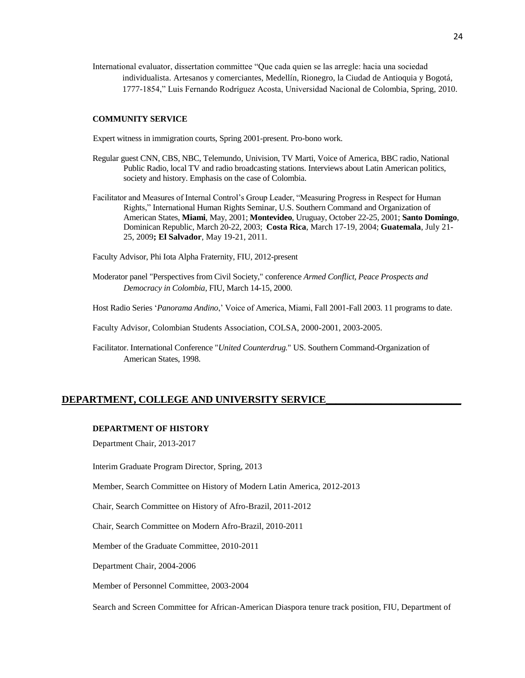International evaluator, dissertation committee "Que cada quien se las arregle: hacia una sociedad individualista. Artesanos y comerciantes, Medellín, Rionegro, la Ciudad de Antioquia y Bogotá, 1777-1854," Luis Fernando Rodríguez Acosta, Universidad Nacional de Colombia, Spring, 2010.

#### **COMMUNITY SERVICE**

Expert witness in immigration courts, Spring 2001-present. Pro-bono work.

- Regular guest CNN, CBS, NBC, Telemundo, Univision, TV Marti, Voice of America, BBC radio, National Public Radio, local TV and radio broadcasting stations. Interviews about Latin American politics, society and history. Emphasis on the case of Colombia.
- Facilitator and Measures of Internal Control's Group Leader, "Measuring Progress in Respect for Human Rights," International Human Rights Seminar, U.S. Southern Command and Organization of American States, **Miami**, May, 2001; **Montevideo**, Uruguay, October 22-25, 2001; **Santo Domingo**, Dominican Republic, March 20-22, 2003; **Costa Rica**, March 17-19, 2004; **Guatemala**, July 21- 25, 2009**; El Salvador**, May 19-21, 2011.

Faculty Advisor, Phi Iota Alpha Fraternity, FIU, 2012-present

- Moderator panel "Perspectives from Civil Society," conference *Armed Conflict, Peace Prospects and Democracy in Colombia*, FIU, March 14-15, 2000.
- Host Radio Series '*Panorama Andino*,' Voice of America, Miami, Fall 2001-Fall 2003. 11 programs to date.
- Faculty Advisor, Colombian Students Association, COLSA, 2000-2001, 2003-2005.
- Facilitator. International Conference "*United Counterdrug.*" US. Southern Command-Organization of American States, 1998.

## **DEPARTMENT, COLLEGE AND UNIVERSITY SERVICE\_\_\_\_\_\_\_\_\_\_\_\_\_\_\_\_\_\_\_\_\_\_\_\_\_\_\_**

### **DEPARTMENT OF HISTORY**

Department Chair, 2013-2017

Interim Graduate Program Director, Spring, 2013

Member, Search Committee on History of Modern Latin America, 2012-2013

Chair, Search Committee on History of Afro-Brazil, 2011-2012

Chair, Search Committee on Modern Afro-Brazil, 2010-2011

Member of the Graduate Committee, 2010-2011

Department Chair, 2004-2006

Member of Personnel Committee, 2003-2004

Search and Screen Committee for African-American Diaspora tenure track position, FIU, Department of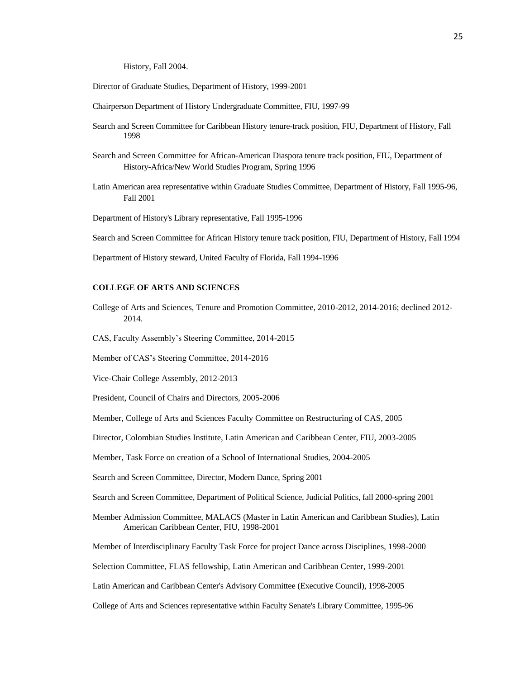History, Fall 2004.

- Director of Graduate Studies, Department of History, 1999-2001
- Chairperson Department of History Undergraduate Committee, FIU, 1997-99
- Search and Screen Committee for Caribbean History tenure-track position, FIU, Department of History, Fall 1998
- Search and Screen Committee for African-American Diaspora tenure track position, FIU, Department of History-Africa/New World Studies Program, Spring 1996
- Latin American area representative within Graduate Studies Committee, Department of History, Fall 1995-96, Fall 2001
- Department of History's Library representative, Fall 1995-1996
- Search and Screen Committee for African History tenure track position, FIU, Department of History, Fall 1994
- Department of History steward, United Faculty of Florida, Fall 1994-1996

#### **COLLEGE OF ARTS AND SCIENCES**

- College of Arts and Sciences, Tenure and Promotion Committee, 2010-2012, 2014-2016; declined 2012- 2014.
- CAS, Faculty Assembly's Steering Committee, 2014-2015

Member of CAS's Steering Committee, 2014-2016

Vice-Chair College Assembly, 2012-2013

President, Council of Chairs and Directors, 2005-2006

Member, College of Arts and Sciences Faculty Committee on Restructuring of CAS, 2005

Director, Colombian Studies Institute, Latin American and Caribbean Center, FIU, 2003-2005

Member, Task Force on creation of a School of International Studies, 2004-2005

Search and Screen Committee, Director, Modern Dance, Spring 2001

Search and Screen Committee, Department of Political Science, Judicial Politics, fall 2000-spring 2001

Member Admission Committee, MALACS (Master in Latin American and Caribbean Studies), Latin American Caribbean Center, FIU, 1998-2001

Member of Interdisciplinary Faculty Task Force for project Dance across Disciplines, 1998-2000

Selection Committee, FLAS fellowship, Latin American and Caribbean Center, 1999-2001

Latin American and Caribbean Center's Advisory Committee (Executive Council), 1998-2005

College of Arts and Sciences representative within Faculty Senate's Library Committee, 1995-96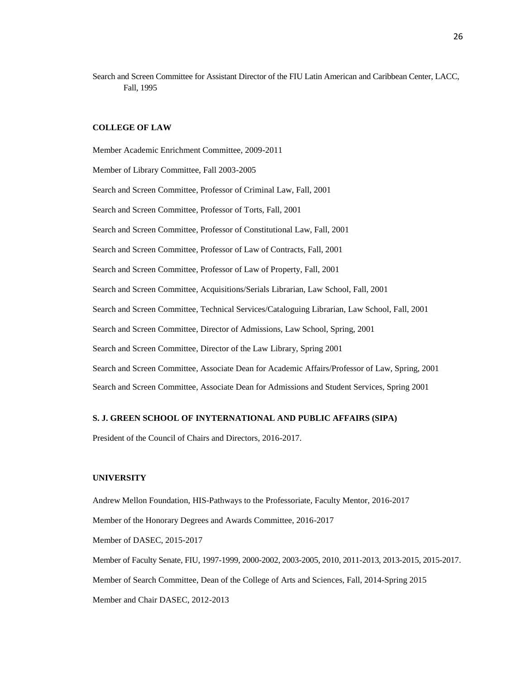Search and Screen Committee for Assistant Director of the FIU Latin American and Caribbean Center, LACC, Fall, 1995

# **COLLEGE OF LAW**

Member Academic Enrichment Committee, 2009-2011 Member of Library Committee, Fall 2003-2005 Search and Screen Committee, Professor of Criminal Law, Fall, 2001 Search and Screen Committee, Professor of Torts, Fall, 2001 Search and Screen Committee, Professor of Constitutional Law, Fall, 2001 Search and Screen Committee, Professor of Law of Contracts, Fall, 2001 Search and Screen Committee, Professor of Law of Property, Fall, 2001 Search and Screen Committee, Acquisitions/Serials Librarian, Law School, Fall, 2001 Search and Screen Committee, Technical Services/Cataloguing Librarian, Law School, Fall, 2001 Search and Screen Committee, Director of Admissions, Law School, Spring, 2001 Search and Screen Committee, Director of the Law Library, Spring 2001 Search and Screen Committee, Associate Dean for Academic Affairs/Professor of Law, Spring, 2001 Search and Screen Committee, Associate Dean for Admissions and Student Services, Spring 2001

### **S. J. GREEN SCHOOL OF INYTERNATIONAL AND PUBLIC AFFAIRS (SIPA)**

President of the Council of Chairs and Directors, 2016-2017.

## **UNIVERSITY**

Andrew Mellon Foundation, HIS-Pathways to the Professoriate, Faculty Mentor, 2016-2017 Member of the Honorary Degrees and Awards Committee, 2016-2017 Member of DASEC, 2015-2017 Member of Faculty Senate, FIU, 1997-1999, 2000-2002, 2003-2005, 2010, 2011-2013, 2013-2015, 2015-2017. Member of Search Committee, Dean of the College of Arts and Sciences, Fall, 2014-Spring 2015 Member and Chair DASEC, 2012-2013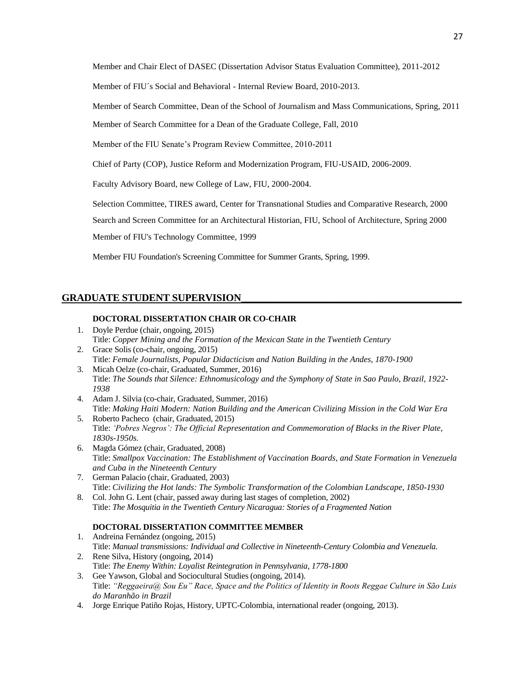Member and Chair Elect of DASEC (Dissertation Advisor Status Evaluation Committee), 2011-2012

Member of FIU´s Social and Behavioral - Internal Review Board, 2010-2013.

Member of Search Committee, Dean of the School of Journalism and Mass Communications, Spring, 2011

Member of Search Committee for a Dean of the Graduate College, Fall, 2010

Member of the FIU Senate's Program Review Committee, 2010-2011

Chief of Party (COP), Justice Reform and Modernization Program, FIU-USAID, 2006-2009.

Faculty Advisory Board, new College of Law, FIU, 2000-2004.

Selection Committee, TIRES award, Center for Transnational Studies and Comparative Research, 2000

Search and Screen Committee for an Architectural Historian, FIU, School of Architecture, Spring 2000

Member of FIU's Technology Committee, 1999

Member FIU Foundation's Screening Committee for Summer Grants, Spring, 1999.

# **GRADUATE STUDENT SUPERVISION**

## **DOCTORAL DISSERTATION CHAIR OR CO-CHAIR**

- 1. Doyle Perdue (chair, ongoing, 2015) Title: *Copper Mining and the Formation of the Mexican State in the Twentieth Century*
- 2. Grace Solis (co-chair, ongoing, 2015) Title: *Female Journalists, Popular Didacticism and Nation Building in the Andes, 1870-1900*
- 3. Micah Oelze (co-chair, Graduated, Summer, 2016) Title: *The Sounds that Silence: Ethnomusicology and the Symphony of State in Sao Paulo, Brazil, 1922- 1938*
- 4. Adam J. Silvia (co-chair, Graduated, Summer, 2016) Title: *Making Haiti Modern: Nation Building and the American Civilizing Mission in the Cold War Era*
- 5. Roberto Pacheco (chair, Graduated, 2015) Title: *'Pobres Negros': The Official Representation and Commemoration of Blacks in the River Plate, 1830s-1950s.*
- 6. Magda Gómez (chair, Graduated, 2008) Title: *Smallpox Vaccination: The Establishment of Vaccination Boards, and State Formation in Venezuela and Cuba in the Nineteenth Century*
- 7. German Palacio (chair, Graduated, 2003) Title: *Civilizing the Hot lands: The Symbolic Transformation of the Colombian Landscape, 1850-1930*
- 8. Col. John G. Lent (chair, passed away during last stages of completion, 2002) Title: *The Mosquitia in the Twentieth Century Nicaragua: Stories of a Fragmented Nation*

## **DOCTORAL DISSERTATION COMMITTEE MEMBER**

- 1. Andreina Fernández (ongoing, 2015) Title: *Manual transmissions: Individual and Collective in Nineteenth-Century Colombia and Venezuela.* 2. Rene Silva, History (ongoing, 2014)
- Title: *The Enemy Within: Loyalist Reintegration in Pennsylvania, 1778-1800*
- 3. Gee Yawson, Global and Sociocultural Studies (ongoing, 2014). Title: *"Reggaeira@ Sou Eu" Race, Space and the Politics of Identity in Roots Reggae Culture in São Luis do Maranhão in Brazil*
- 4. Jorge Enrique Patiño Rojas, History, UPTC-Colombia, international reader (ongoing, 2013).